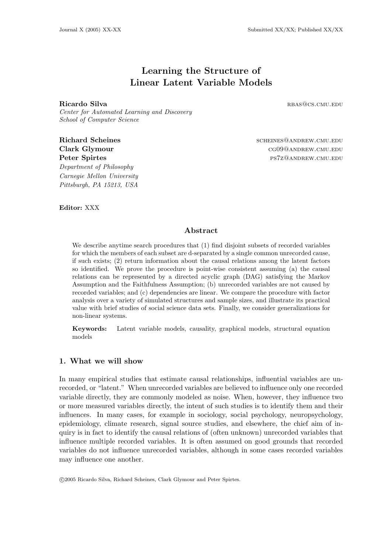# Learning the Structure of Linear Latent Variable Models

Ricardo Silva rbase results and the set of the set of the set of the set of the set of the set of the set of the set of the set of the set of the set of the set of the set of the set of the set of the set of the set of the

Center for Automated Learning and Discovery School of Computer Science

Department of Philosophy Carnegie Mellon University Pittsburgh, PA 15213, USA

Richard Scheines and Scheines and Scheines and Scheines and Scheines and Scheines and Scheines and Scheines and Scheines and Scheines and Scheines and Scheines and Scheines and Scheines and Scheines and Scheines and Schein Clark Glymour cg09@andrew.cmu.edu Peter Spirtes **processes** ps7z@andrew.cmu.edu

Editor: XXX

## Abstract

We describe anytime search procedures that  $(1)$  find disjoint subsets of recorded variables for which the members of each subset are d-separated by a single common unrecorded cause, if such exists; (2) return information about the causal relations among the latent factors so identified. We prove the procedure is point-wise consistent assuming (a) the causal relations can be represented by a directed acyclic graph (DAG) satisfying the Markov Assumption and the Faithfulness Assumption; (b) unrecorded variables are not caused by recorded variables; and (c) dependencies are linear. We compare the procedure with factor analysis over a variety of simulated structures and sample sizes, and illustrate its practical value with brief studies of social science data sets. Finally, we consider generalizations for non-linear systems.

Keywords: Latent variable models, causality, graphical models, structural equation models

## 1. What we will show

In many empirical studies that estimate causal relationships, influential variables are unrecorded, or "latent." When unrecorded variables are believed to influence only one recorded variable directly, they are commonly modeled as noise. When, however, they influence two or more measured variables directly, the intent of such studies is to identify them and their influences. In many cases, for example in sociology, social psychology, neuropsychology, epidemiology, climate research, signal source studies, and elsewhere, the chief aim of inquiry is in fact to identify the causal relations of (often unknown) unrecorded variables that influence multiple recorded variables. It is often assumed on good grounds that recorded variables do not influence unrecorded variables, although in some cases recorded variables may influence one another.

c 2005 Ricardo Silva, Richard Scheines, Clark Glymour and Peter Spirtes.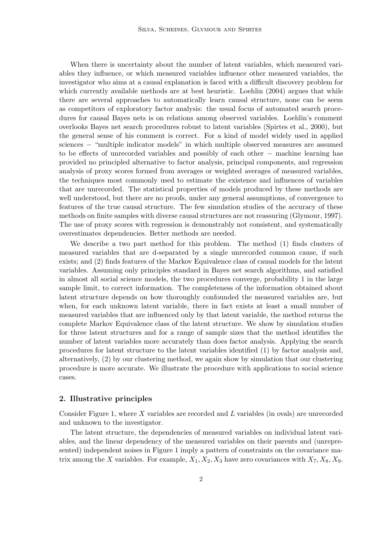When there is uncertainty about the number of latent variables, which measured variables they influence, or which measured variables influence other measured variables, the investigator who aims at a causal explanation is faced with a difficult discovery problem for which currently available methods are at best heuristic. Loehlin (2004) argues that while there are several approaches to automatically learn causal structure, none can be seem as competitors of exploratory factor analysis: the usual focus of automated search procedures for causal Bayes nets is on relations among observed variables. Loehlin's comment overlooks Bayes net search procedures robust to latent variables (Spirtes et al., 2000), but the general sense of his comment is correct. For a kind of model widely used in applied sciences – "multiple indicator models" in which multiple observed measures are assumed to be effects of unrecorded variables and possibly of each other − machine learning has provided no principled alternative to factor analysis, principal components, and regression analysis of proxy scores formed from averages or weighted averages of measured variables, the techniques most commonly used to estimate the existence and influences of variables that are unrecorded. The statistical properties of models produced by these methods are well understood, but there are no proofs, under any general assumptions, of convergence to features of the true causal structure. The few simulation studies of the accuracy of these methods on finite samples with diverse causal structures are not reassuring (Glymour, 1997). The use of proxy scores with regression is demonstrably not consistent, and systematically overestimates dependencies. Better methods are needed.

We describe a two part method for this problem. The method (1) finds clusters of measured variables that are d-separated by a single unrecorded common cause, if such exists; and (2) finds features of the Markov Equivalence class of causal models for the latent variables. Assuming only principles standard in Bayes net search algorithms, and satisfied in almost all social science models, the two procedures converge, probability 1 in the large sample limit, to correct information. The completeness of the information obtained about latent structure depends on how thoroughly confounded the measured variables are, but when, for each unknown latent variable, there in fact exists at least a small number of measured variables that are influenced only by that latent variable, the method returns the complete Markov Equivalence class of the latent structure. We show by simulation studies for three latent structures and for a range of sample sizes that the method identifies the number of latent variables more accurately than does factor analysis. Applying the search procedures for latent structure to the latent variables identified (1) by factor analysis and, alternatively, (2) by our clustering method, we again show by simulation that our clustering procedure is more accurate. We illustrate the procedure with applications to social science cases.

#### 2. Illustrative principles

Consider Figure 1, where X variables are recorded and L variables (in ovals) are unrecorded and unknown to the investigator.

The latent structure, the dependencies of measured variables on individual latent variables, and the linear dependency of the measured variables on their parents and (unrepresented) independent noises in Figure 1 imply a pattern of constraints on the covariance matrix among the X variables. For example,  $X_1, X_2, X_3$  have zero covariances with  $X_7, X_8, X_9$ .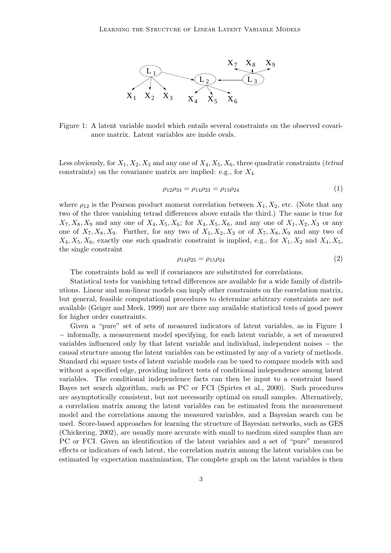

Figure 1: A latent variable model which entails several constraints on the observed covariance matrix. Latent variables are inside ovals.

Less obviously, for  $X_1, X_2, X_3$  and any one of  $X_4, X_5, X_6$ , three quadratic constraints (*tetrad* constraints) on the covariance matrix are implied: e.g., for  $X_4$ 

$$
\rho_{12}\rho_{34} = \rho_{14}\rho_{23} = \rho_{13}\rho_{24} \tag{1}
$$

where  $\rho_{12}$  is the Pearson product moment correlation between  $X_1, X_2$ , etc. (Note that any two of the three vanishing tetrad differences above entails the third.) The same is true for  $X_7, X_8, X_9$  and any one of  $X_4, X_5, X_6$ ; for  $X_4, X_5, X_6$ , and any one of  $X_1, X_2, X_3$  or any one of  $X_7, X_8, X_9$ . Further, for any two of  $X_1, X_2, X_3$  or of  $X_7, X_8, X_9$  and any two of  $X_4, X_5, X_6$ , exactly one such quadratic constraint is implied, e.g., for  $X_1, X_2$  and  $X_4, X_5$ , the single constraint

$$
\rho_{14}\rho_{25} = \rho_{15}\rho_{24} \tag{2}
$$

The constraints hold as well if covariances are substituted for correlations.

Statistical tests for vanishing tetrad differences are available for a wide family of distributions. Linear and non-linear models can imply other constraints on the correlation matrix, but general, feasible computational procedures to determine arbitrary constraints are not available (Geiger and Meek, 1999) nor are there any available statistical tests of good power for higher order constraints.

Given a "pure" set of sets of measured indicators of latent variables, as in Figure 1 − informally, a measurement model specifying, for each latent variable, a set of measured variables influenced only by that latent variable and individual, independent noises − the causal structure among the latent variables can be estimated by any of a variety of methods. Standard chi square tests of latent variable models can be used to compare models with and without a specified edge, providing indirect tests of conditional independence among latent variables. The conditional independence facts can then be input to a constraint based Bayes net search algorithm, such as PC or FCI (Spirtes et al., 2000). Such procedures are asymptotically consistent, but not necessarily optimal on small samples. Alternatively, a correlation matrix among the latent variables can be estimated from the measurement model and the correlations among the measured variables, and a Bayesian search can be used. Score-based approaches for learning the structure of Bayesian networks, such as GES (Chickering, 2002), are usually more accurate with small to medium sized samples than are PC or FCI. Given an identification of the latent variables and a set of "pure" measured effects or indicators of each latent, the correlation matrix among the latent variables can be estimated by expectation maximization, The complete graph on the latent variables is then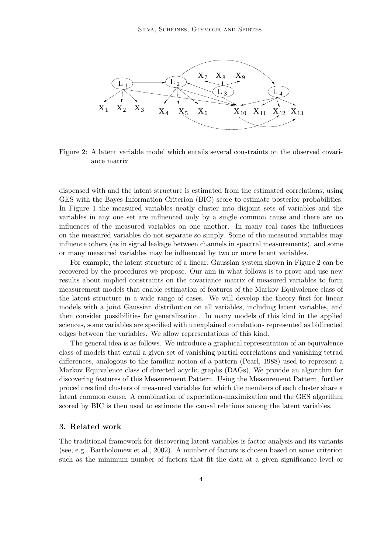

Figure 2: A latent variable model which entails several constraints on the observed covariance matrix.

dispensed with and the latent structure is estimated from the estimated correlations, using GES with the Bayes Information Criterion (BIC) score to estimate posterior probabilities. In Figure 1 the measured variables neatly cluster into disjoint sets of variables and the variables in any one set are influenced only by a single common cause and there are no influences of the measured variables on one another. In many real cases the influences on the measured variables do not separate so simply. Some of the measured variables may influence others (as in signal leakage between channels in spectral measurements), and some or many measured variables may be influenced by two or more latent variables.

For example, the latent structure of a linear, Gaussian system shown in Figure 2 can be recovered by the procedures we propose. Our aim in what follows is to prove and use new results about implied constraints on the covariance matrix of measured variables to form measurement models that enable estimation of features of the Markov Equivalence class of the latent structure in a wide range of cases. We will develop the theory first for linear models with a joint Gaussian distribution on all variables, including latent variables, and then consider possibilities for generalization. In many models of this kind in the applied sciences, some variables are specified with unexplained correlations represented as bidirected edges between the variables. We allow representations of this kind.

The general idea is as follows. We introduce a graphical representation of an equivalence class of models that entail a given set of vanishing partial correlations and vanishing tetrad differences, analogous to the familiar notion of a pattern (Pearl, 1988) used to represent a Markov Equivalence class of directed acyclic graphs (DAGs), We provide an algorithm for discovering features of this Measurement Pattern. Using the Measurement Pattern, further procedures find clusters of measured variables for which the members of each cluster share a latent common cause. A combination of expectation-maximization and the GES algorithm scored by BIC is then used to estimate the causal relations among the latent variables.

#### 3. Related work

The traditional framework for discovering latent variables is factor analysis and its variants (see, e.g., Bartholomew et al., 2002). A number of factors is chosen based on some criterion such as the minimum number of factors that fit the data at a given significance level or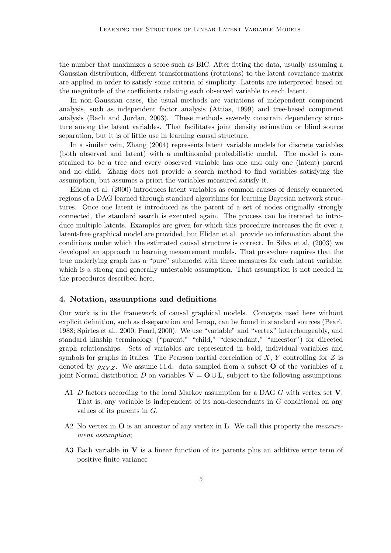the number that maximizes a score such as BIC. After fitting the data, usually assuming a Gaussian distribution, different transformations (rotations) to the latent covariance matrix are applied in order to satisfy some criteria of simplicity. Latents are interpreted based on the magnitude of the coefficients relating each observed variable to each latent.

In non-Gaussian cases, the usual methods are variations of independent component analysis, such as independent factor analysis (Attias, 1999) and tree-based component analysis (Bach and Jordan, 2003). These methods severely constrain dependency structure among the latent variables. That facilitates joint density estimation or blind source separation, but it is of little use in learning causal structure.

In a similar vein, Zhang (2004) represents latent variable models for discrete variables (both observed and latent) with a multinomial probabilistic model. The model is constrained to be a tree and every observed variable has one and only one (latent) parent and no child. Zhang does not provide a search method to find variables satisfying the assumption, but assumes a priori the variables measured satisfy it.

Elidan et al. (2000) introduces latent variables as common causes of densely connected regions of a DAG learned through standard algorithms for learning Bayesian network structures. Once one latent is introduced as the parent of a set of nodes originally strongly connected, the standard search is executed again. The process can be iterated to introduce multiple latents. Examples are given for which this procedure increases the fit over a latent-free graphical model are provided, but Elidan et al. provide no information about the conditions under which the estimated causal structure is correct. In Silva et al. (2003) we developed an approach to learning measurement models. That procedure requires that the true underlying graph has a "pure" submodel with three measures for each latent variable, which is a strong and generally untestable assumption. That assumption is not needed in the procedures described here.

#### 4. Notation, assumptions and definitions

Our work is in the framework of causal graphical models. Concepts used here without explicit definition, such as d-separation and I-map, can be found in standard sources (Pearl, 1988; Spirtes et al., 2000; Pearl, 2000). We use "variable" and "vertex" interchangeably, and standard kinship terminology ("parent," "child," "descendant," "ancestor") for directed graph relationships. Sets of variables are represented in bold, individual variables and symbols for graphs in italics. The Pearson partial correlation of  $X, Y$  controlling for  $Z$  is denoted by  $\rho_{XY,Z}$ . We assume i.i.d. data sampled from a subset **O** of the variables of a joint Normal distribution D on variables  $\mathbf{V} = \mathbf{O} \cup \mathbf{L}$ , subject to the following assumptions:

- A1 D factors according to the local Markov assumption for a DAG G with vertex set V. That is, any variable is independent of its non-descendants in G conditional on any values of its parents in G.
- A2 No vertex in  $\bf{O}$  is an ancestor of any vertex in  $\bf{L}$ . We call this property the *measure*ment assumption;
- A3 Each variable in  $V$  is a linear function of its parents plus an additive error term of positive finite variance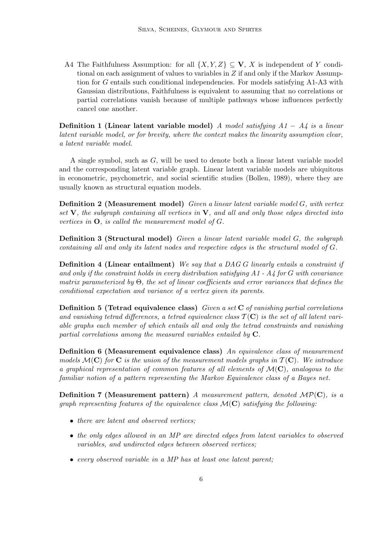A4 The Faithfulness Assumption: for all  $\{X, Y, Z\} \subseteq V$ , X is independent of Y conditional on each assignment of values to variables in  $Z$  if and only if the Markov Assumption for G entails such conditional independencies. For models satisfying A1-A3 with Gaussian distributions, Faithfulness is equivalent to assuming that no correlations or partial correlations vanish because of multiple pathways whose influences perfectly cancel one another.

Definition 1 (Linear latent variable model) A model satisfying  $A1 - A4$  is a linear latent variable model, or for brevity, where the context makes the linearity assumption clear, a latent variable model.

A single symbol, such as G, will be used to denote both a linear latent variable model and the corresponding latent variable graph. Linear latent variable models are ubiquitous in econometric, psychometric, and social scientific studies (Bollen, 1989), where they are usually known as structural equation models.

Definition 2 (Measurement model) Given a linear latent variable model G, with vertex set  $V$ , the subgraph containing all vertices in  $V$ , and all and only those edges directed into vertices in  $\mathbf{O}$ , is called the measurement model of  $G$ .

Definition 3 (Structural model) Given a linear latent variable model G, the subgraph containing all and only its latent nodes and respective edges is the structural model of G.

**Definition 4 (Linear entailment)** We say that a DAG G linearly entails a constraint if and only if the constraint holds in every distribution satisfying  $A1 - A4$  for G with covariance matrix parameterized by  $\Theta$ , the set of linear coefficients and error variances that defines the conditional expectation and variance of a vertex given its parents.

**Definition 5 (Tetrad equivalence class)** Given a set  $C$  of vanishing partial correlations and vanishing tetrad differences, a tetrad equivalence class  $\mathcal{T}(\mathbf{C})$  is the set of all latent variable graphs each member of which entails all and only the tetrad constraints and vanishing partial correlations among the measured variables entailed by  $C$ .

Definition 6 (Measurement equivalence class) An equivalence class of measurement models  $\mathcal{M}(\mathbf{C})$  for **C** is the union of the measurement models graphs in  $\mathcal{T}(\mathbf{C})$ . We introduce a graphical representation of common features of all elements of  $\mathcal{M}(\mathbf{C})$ , analogous to the familiar notion of a pattern representing the Markov Equivalence class of a Bayes net.

**Definition 7 (Measurement pattern)** A measurement pattern, denoted  $\mathcal{MP}(\mathbf{C})$ , is a graph representing features of the equivalence class  $\mathcal{M}(\mathbf{C})$  satisfying the following:

- there are latent and observed vertices;
- the only edges allowed in an MP are directed edges from latent variables to observed variables, and undirected edges between observed vertices;
- every observed variable in a MP has at least one latent parent;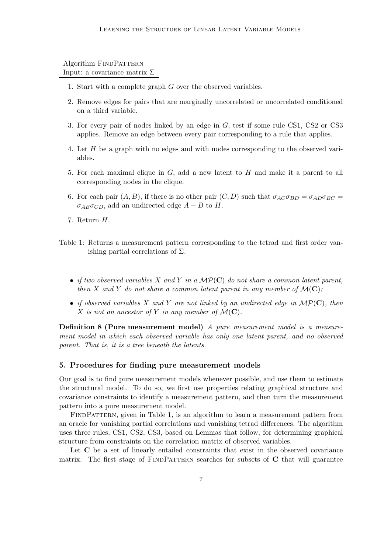### Algorithm FINDPATTERN Input: a covariance matrix  $\Sigma$

- 1. Start with a complete graph G over the observed variables.
- 2. Remove edges for pairs that are marginally uncorrelated or uncorrelated conditioned on a third variable.
- 3. For every pair of nodes linked by an edge in G, test if some rule CS1, CS2 or CS3 applies. Remove an edge between every pair corresponding to a rule that applies.
- 4. Let H be a graph with no edges and with nodes corresponding to the observed variables.
- 5. For each maximal clique in G, add a new latent to H and make it a parent to all corresponding nodes in the clique.
- 6. For each pair  $(A, B)$ , if there is no other pair  $(C, D)$  such that  $\sigma_{AC}\sigma_{BD} = \sigma_{AD}\sigma_{BC} =$  $\sigma_{AB}\sigma_{CD}$ , add an undirected edge  $A - B$  to H.
- 7. Return H.
- Table 1: Returns a measurement pattern corresponding to the tetrad and first order vanishing partial correlations of  $\Sigma$ .
	- if two observed variables X and Y in a  $\mathcal{MP}(\mathbf{C})$  do not share a common latent parent, then X and Y do not share a common latent parent in any member of  $\mathcal{M}(\mathbf{C})$ ;
	- if observed variables X and Y are not linked by an undirected edge in  $\mathcal{MP}(\mathbf{C})$ , then X is not an ancestor of Y in any member of  $\mathcal{M}(\mathbf{C})$ .

Definition 8 (Pure measurement model) A pure measurement model is a measurement model in which each observed variable has only one latent parent, and no observed parent. That is, it is a tree beneath the latents.

#### 5. Procedures for finding pure measurement models

Our goal is to find pure measurement models whenever possible, and use them to estimate the structural model. To do so, we first use properties relating graphical structure and covariance constraints to identify a measurement pattern, and then turn the measurement pattern into a pure measurement model.

FINDPATTERN, given in Table 1, is an algorithm to learn a measurement pattern from an oracle for vanishing partial correlations and vanishing tetrad differences. The algorithm uses three rules, CS1, CS2, CS3, based on Lemmas that follow, for determining graphical structure from constraints on the correlation matrix of observed variables.

Let C be a set of linearly entailed constraints that exist in the observed covariance matrix. The first stage of  $FINDPATHERN$  searches for subsets of  $C$  that will guarantee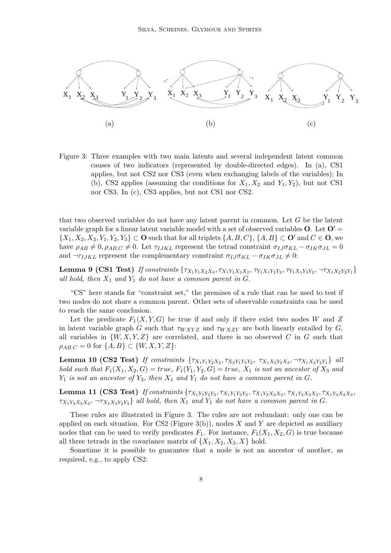

Figure 3: Three examples with two main latents and several independent latent common causes of two indicators (represented by double-directed edges). In (a), CS1 applies, but not CS2 nor CS3 (even when exchanging labels of the variables); In (b), CS2 applies (assuming the conditions for  $X_1, X_2$  and  $Y_1, Y_2$ ), but not CS1 nor CS3. In (c), CS3 applies, but not CS1 nor CS2.

that two observed variables do not have any latent parent in common. Let G be the latent variable graph for a linear latent variable model with a set of observed variables  $O$ . Let  $O' =$  $\{X_1, X_2, X_3, Y_1, Y_2, Y_3\} \subset \mathbf{O}$  such that for all triplets  $\{A, B, C\}$ ,  $\{A, B\} \subset \mathbf{O}'$  and  $C \in \mathbf{O}$ , we have  $\rho_{AB} \neq 0$ ,  $\rho_{AB,C} \neq 0$ . Let  $\tau_{IJKL}$  represent the tetrad constraint  $\sigma_{IJ}\sigma_{KL} - \sigma_{IK}\sigma_{JL} = 0$ and  $\neg$ *TIJKL* represent the complementary constraint  $\sigma_{IJ}\sigma_{KL} - \sigma_{IK}\sigma_{JL} \neq 0$ :

Lemma 9 (CS1 Test) If constraints  $\{\tau_{X_1Y_1X_2X_3}, \tau_{X_1Y_1X_3X_2}, \tau_{Y_1X_1Y_2Y_3}, \tau_{Y_1X_1Y_3Y_2}, \neg \tau_{X_1X_2Y_2Y_1}\}$ all hold, then  $X_1$  and  $Y_1$  do not have a common parent in G.

"CS" here stands for "constraint set," the premises of a rule that can be used to test if two nodes do not share a common parent. Other sets of observable constraints can be used to reach the same conclusion.

Let the predicate  $F_1(X, Y, G)$  be true if and only if there exist two nodes W and Z in latent variable graph G such that  $\tau_{WXYZ}$  and  $\tau_{WXZY}$  are both linearly entailed by G, all variables in  $\{W, X, Y, Z\}$  are correlated, and there is no observed C in G such that  $\rho_{AB,C} = 0$  for  $\{A, B\} \subset \{W, X, Y, Z\}$ :

Lemma 10 (CS2 Test) If constraints  $\{\tau_{X_1Y_1Y_2X_2}, \tau_{X_2Y_1Y_3Y_2}, \tau_{X_1X_2Y_2X_3}, \neg \tau_{X_1X_2Y_2Y_1}\}$  all hold such that  $F_1(X_1, X_2, G) = true$ ,  $F_1(Y_1, Y_2, G) = true$ ,  $X_1$  is not an ancestor of  $X_3$  and  $Y_1$  is not an ancestor of  $Y_3$ , then  $X_1$  and  $Y_1$  do not have a common parent in G.

**Lemma 11 (CS3 Test)** If constraints  $\{\tau_{X_1Y_1Y_2Y_3}, \tau_{X_1Y_1Y_3Y_2}, \tau_{X_1Y_2X_2X_3}, \tau_{X_1Y_2X_3X_2}, \tau_{X_1Y_3X_2X_3},\}$  $\tau_{X_1Y_3X_3X_2}, \neg \tau_{X_1X_2Y_2Y_3}$  all hold, then  $X_1$  and  $Y_1$  do not have a common parent in G.

These rules are illustrated in Figure 3. The rules are not redundant: only one can be applied on each situation. For CS2 (Figure 3(b)), nodes X and Y are depicted as auxiliary nodes that can be used to verify predicates  $F_1$ . For instance,  $F_1(X_1, X_2, G)$  is true because all three tetrads in the covariance matrix of  $\{X_1, X_2, X_3, X\}$  hold.

Sometime it is possible to guarantee that a node is not an ancestor of another, as required, e.g., to apply CS2: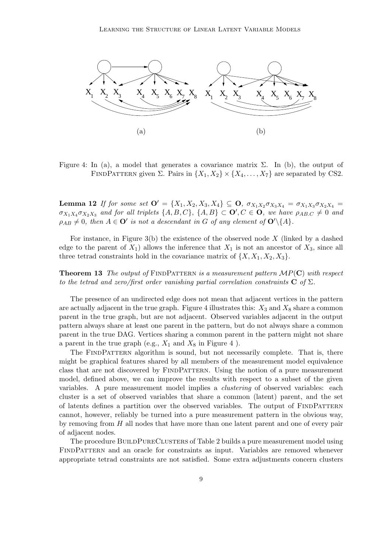

Figure 4: In (a), a model that generates a covariance matrix  $\Sigma$ . In (b), the output of FINDPATTERN given  $\Sigma$ . Pairs in  $\{X_1, X_2\} \times \{X_4, \ldots, X_7\}$  are separated by CS2.

Lemma 12 If for some set  $O' = \{X_1, X_2, X_3, X_4\} \subseteq O$ ,  $\sigma_{X_1X_2}\sigma_{X_3X_4} = \sigma_{X_1X_3}\sigma_{X_2X_4} =$  $\sigma_{X_1X_4}\sigma_{X_2X_3}$  and for all triplets  $\{A, B, C\}$ ,  $\{A, B\} \subset \mathbf{O}'$ ,  $C \in \mathbf{O}$ , we have  $\rho_{AB,C} \neq 0$  and  $\rho_{AB} \neq 0$ , then  $A \in \mathbf{O}'$  is not a descendant in G of any element of  $\mathbf{O}'\backslash\{A\}$ .

For instance, in Figure 3(b) the existence of the observed node  $X$  (linked by a dashed edge to the parent of  $X_1$ ) allows the inference that  $X_1$  is not an ancestor of  $X_3$ , since all three tetrad constraints hold in the covariance matrix of  $\{X, X_1, X_2, X_3\}.$ 

**Theorem 13** The output of FINDPATTERN is a measurement pattern  $MP(C)$  with respect to the tetrad and zero/first order vanishing partial correlation constraints  $C$  of  $\Sigma$ .

The presence of an undirected edge does not mean that adjacent vertices in the pattern are actually adjacent in the true graph. Figure 4 illustrates this:  $X_3$  and  $X_8$  share a common parent in the true graph, but are not adjacent. Observed variables adjacent in the output pattern always share at least one parent in the pattern, but do not always share a common parent in the true DAG. Vertices sharing a common parent in the pattern might not share a parent in the true graph (e.g.,  $X_1$  and  $X_8$  in Figure 4).

The FINDPATTERN algorithm is sound, but not necessarily complete. That is, there might be graphical features shared by all members of the measurement model equivalence class that are not discovered by FINDPATTERN. Using the notion of a pure measurement model, defined above, we can improve the results with respect to a subset of the given variables. A pure measurement model implies a *clustering* of observed variables: each cluster is a set of observed variables that share a common (latent) parent, and the set of latents defines a partition over the observed variables. The output of FINDPATTERN cannot, however, reliably be turned into a pure measurement pattern in the obvious way, by removing from  $H$  all nodes that have more than one latent parent and one of every pair of adjacent nodes.

The procedure BUILDPURECLUSTERS of Table 2 builds a pure measurement model using FINDPATTERN and an oracle for constraints as input. Variables are removed whenever appropriate tetrad constraints are not satisfied. Some extra adjustments concern clusters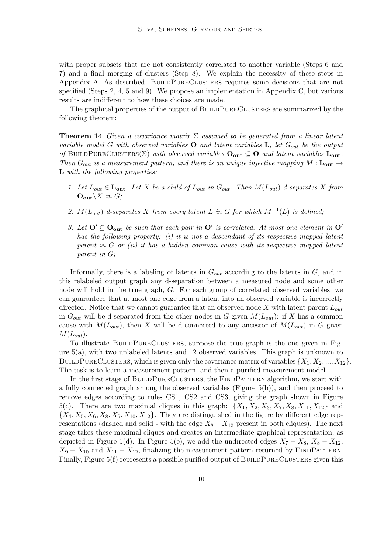with proper subsets that are not consistently correlated to another variable (Steps 6 and 7) and a final merging of clusters (Step 8). We explain the necessity of these steps in Appendix A. As described, BUILDPURECLUSTERS requires some decisions that are not specified (Steps 2, 4, 5 and 9). We propose an implementation in Appendix C, but various results are indifferent to how these choices are made.

The graphical properties of the output of BUILDPURECLUSTERS are summarized by the following theorem:

**Theorem 14** Given a covariance matrix  $\Sigma$  assumed to be generated from a linear latent variable model G with observed variables **O** and latent variables **L**, let  $G_{out}$  be the output of BUILDPURECLUSTERS( $\Sigma$ ) with observed variables  $O_{\text{out}} \subseteq O$  and latent variables  $L_{\text{out}}$ . Then  $G_{out}$  is a measurement pattern, and there is an unique injective mapping M :  $\mathbf{L_{out}} \rightarrow$ L with the following properties:

- 1. Let  $L_{out} \in \mathbf{L_{out}}$ . Let X be a child of  $L_{out}$  in  $G_{out}$ . Then  $M(L_{out})$  d-separates X from  $\mathbf{O}_{\text{out}}\setminus X$  in G;
- 2.  $M(L_{out})$  d-separates X from every latent L in G for which  $M^{-1}(L)$  is defined;
- 3. Let  $O' \subseteq O_{out}$  be such that each pair in  $O'$  is correlated. At most one element in  $O'$ has the following property: (i) it is not a descendant of its respective mapped latent parent in  $G$  or (ii) it has a hidden common cause with its respective mapped latent parent in G;

Informally, there is a labeling of latents in  $G_{out}$  according to the latents in  $G$ , and in this relabeled output graph any d-separation between a measured node and some other node will hold in the true graph, G. For each group of correlated observed variables, we can guaranteee that at most one edge from a latent into an observed variable is incorrectly directed. Notice that we cannot guarantee that an observed node X with latent parent  $L_{out}$ in  $G_{out}$  will be d-separated from the other nodes in G given  $M(L_{out})$ : if X has a common cause with  $M(L_{out})$ , then X will be d-connected to any ancestor of  $M(L_{out})$  in G given  $M(L_{out}).$ 

To illustrate BUILDPURECLUSTERS, suppose the true graph is the one given in Figure 5(a), with two unlabeled latents and 12 observed variables. This graph is unknown to BUILDPURECLUSTERS, which is given only the covariance matrix of variables  $\{X_1, X_2, ..., X_{12}\}\.$ The task is to learn a measurement pattern, and then a purified measurement model.

In the first stage of BUILDPURECLUSTERS, the FINDPATTERN algorithm, we start with a fully connected graph among the observed variables (Figure 5(b)), and then proceed to remove edges according to rules CS1, CS2 and CS3, giving the graph shown in Figure 5(c). There are two maximal cliques in this graph:  $\{X_1, X_2, X_3, X_7, X_8, X_{11}, X_{12}\}$  and  ${X_4, X_5, X_6, X_8, X_9, X_{10}, X_{12}}$ . They are distinguished in the figure by different edge representations (dashed and solid - with the edge  $X_8 - X_{12}$  present in both cliques). The next stage takes these maximal cliques and creates an intermediate graphical representation, as depicted in Figure 5(d). In Figure 5(e), we add the undirected edges  $X_7 - X_8$ ,  $X_8 - X_{12}$ ,  $X_9 - X_{10}$  and  $X_{11} - X_{12}$ , finalizing the measurement pattern returned by FINDPATTERN. Finally, Figure  $5(f)$  represents a possible purified output of BUILDPURECLUSTERS given this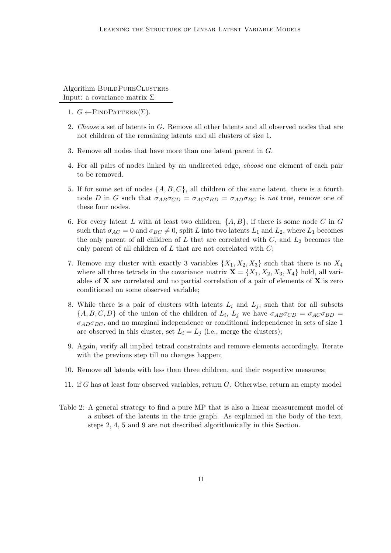### Algorithm BUILDPURECLUSTERS Input: a covariance matrix Σ

- 1.  $G \leftarrow$ FINDPATTERN $(\Sigma)$ .
- 2. Choose a set of latents in G. Remove all other latents and all observed nodes that are not children of the remaining latents and all clusters of size 1.
- 3. Remove all nodes that have more than one latent parent in G.
- 4. For all pairs of nodes linked by an undirected edge, choose one element of each pair to be removed.
- 5. If for some set of nodes  $\{A, B, C\}$ , all children of the same latent, there is a fourth node D in G such that  $\sigma_{AB}\sigma_{CD} = \sigma_{AC}\sigma_{BD} = \sigma_{AD}\sigma_{BC}$  is not true, remove one of these four nodes.
- 6. For every latent L with at least two children,  $\{A, B\}$ , if there is some node C in G such that  $\sigma_{AC} = 0$  and  $\sigma_{BC} \neq 0$ , split L into two latents  $L_1$  and  $L_2$ , where  $L_1$  becomes the only parent of all children of  $L$  that are correlated with  $C$ , and  $L_2$  becomes the only parent of all children of  $L$  that are not correlated with  $C$ ;
- 7. Remove any cluster with exactly 3 variables  $\{X_1, X_2, X_3\}$  such that there is no  $X_4$ where all three tetrads in the covariance matrix  $\mathbf{X} = \{X_1, X_2, X_3, X_4\}$  hold, all variables of  $X$  are correlated and no partial correlation of a pair of elements of  $X$  is zero conditioned on some observed variable;
- 8. While there is a pair of clusters with latents  $L_i$  and  $L_j$ , such that for all subsets  $\{A, B, C, D\}$  of the union of the children of  $L_i$ ,  $L_j$  we have  $\sigma_{AB}\sigma_{CD} = \sigma_{AC}\sigma_{BD} =$  $\sigma_{AD}\sigma_{BC}$ , and no marginal independence or conditional independence in sets of size 1 are observed in this cluster, set  $L_i = L_j$  (i.e., merge the clusters);
- 9. Again, verify all implied tetrad constraints and remove elements accordingly. Iterate with the previous step till no changes happen;
- 10. Remove all latents with less than three children, and their respective measures;
- 11. if G has at least four observed variables, return G. Otherwise, return an empty model.
- Table 2: A general strategy to find a pure MP that is also a linear measurement model of a subset of the latents in the true graph. As explained in the body of the text, steps 2, 4, 5 and 9 are not described algorithmically in this Section.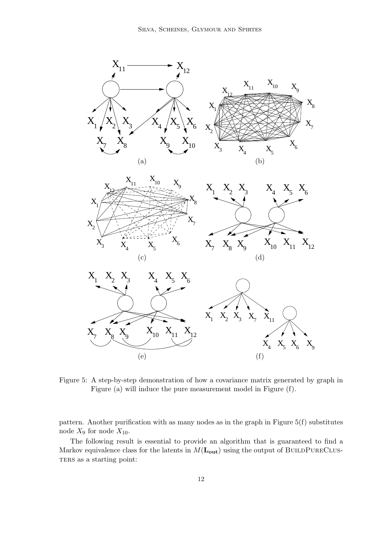

Figure 5: A step-by-step demonstration of how a covariance matrix generated by graph in Figure (a) will induce the pure measurement model in Figure (f).

pattern. Another purification with as many nodes as in the graph in Figure 5(f) substitutes node  $X_9$  for node  $X_{10}$ .

The following result is essential to provide an algorithm that is guaranteed to find a Markov equivalence class for the latents in  $M(\mathbf{L_{out}})$  using the output of BUILDPURECLUS-TERS as a starting point: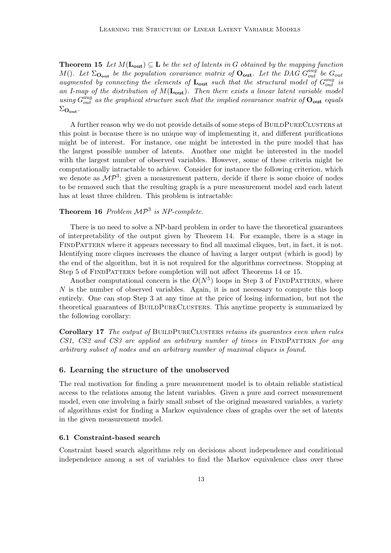**Theorem 15** Let  $M(\mathbf{L_{out}}) \subseteq \mathbf{L}$  be the set of latents in G obtained by the mapping function M(). Let  $\Sigma_{\text{O}_{out}}$  be the population covariance matrix of  $\text{O}_{out}$ . Let the DAG  $G_{out}^{aug}$  be  $G_{out}$ augmented by connecting the elements of  $\mathbf{L_{out}}$  such that the structural model of  $G_{out}^{aug}$  is an I-map of the distribution of  $M(L_{\text{out}})$ . Then there exists a linear latent variable model using  $G_{out}^{aug}$  as the graphical structure such that the implied covariance matrix of  $O_{out}$  equals  $\Sigma_{\text{Out}}$ .

A further reason why we do not provide details of some steps of BUILDPURECLUSTERS at this point is because there is no unique way of implementing it, and different purifications might be of interest. For instance, one might be interested in the pure model that has the largest possible number of latents. Another one might be interested in the model with the largest number of observed variables. However, some of these criteria might be computationally intractable to achieve. Consider for instance the following criterion, which we denote as  $\mathcal{MP}^3$ : given a measurement pattern, decide if there is some choice of nodes to be removed such that the resulting graph is a pure measurement model and each latent has at least three children. This problem is intractable:

## **Theorem 16** Problem  $\mathcal{MP}^3$  is NP-complete.

There is no need to solve a NP-hard problem in order to have the theoretical guarantees of interpretability of the output given by Theorem 14. For example, there is a stage in FINDPATTERN where it appears necessary to find all maximal cliques, but, in fact, it is not. Identifying more cliques increases the chance of having a larger output (which is good) by the end of the algorithm, but it is not required for the algorithms correctness. Stopping at Step 5 of FINDPATTERN before completion will not affect Theorems 14 or 15.

Another computational concern is the  $O(N^5)$  loops in Step 3 of FINDPATTERN, where  $N$  is the number of observed variables. Again, it is not necessary to compute this loop entirely. One can stop Step 3 at any time at the price of losing information, but not the theoretical guarantees of BUILDPURECLUSTERS. This anytime property is summarized by the following corollary:

Corollary 17 The output of BUILDPURECLUSTERS retains its guarantees even when rules  $CS1, \text{CS2}$  and  $CS3$  are applied an arbitrary number of times in FINDPATTERN for any arbitrary subset of nodes and an arbitrary number of maximal cliques is found.

#### 6. Learning the structure of the unobserved

The real motivation for finding a pure measurement model is to obtain reliable statistical access to the relations among the latent variables. Given a pure and correct measurement model, even one involving a fairly small subset of the original measured variables, a variety of algorithms exist for finding a Markov equivalence class of graphs over the set of latents in the given measurement model.

#### 6.1 Constraint-based search

Constraint based search algorithms rely on decisions about independence and conditional independence among a set of variables to find the Markov equivalence class over these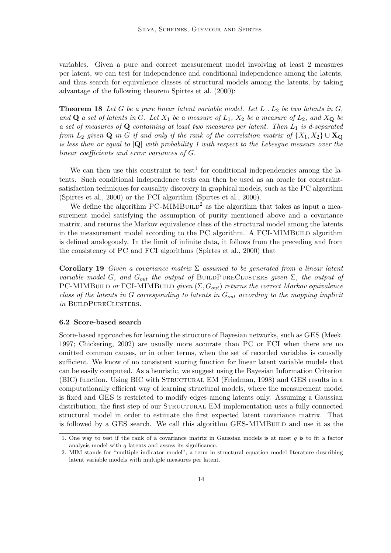variables. Given a pure and correct measurement model involving at least 2 measures per latent, we can test for independence and conditional independence among the latents, and thus search for equivalence classes of structural models among the latents, by taking advantage of the following theorem Spirtes et al. (2000):

**Theorem 18** Let G be a pure linear latent variable model. Let  $L_1, L_2$  be two latents in  $G$ , and  $\bf Q$  a set of latents in G. Let  $X_1$  be a measure of  $L_1$ ,  $X_2$  be a measure of  $L_2$ , and  $X_{\bf Q}$  be a set of measures of  $Q$  containing at least two measures per latent. Then  $L_1$  is d-separated from  $L_2$  given  $\bf{Q}$  in G if and only if the rank of the correlation matrix of  $\{X_1, X_2\} \cup \bf{X}_Q$ is less than or equal to  $|Q|$  with probability 1 with respect to the Lebesgue measure over the linear coefficients and error variances of G.

We can then use this constraint to test<sup>1</sup> for conditional independencies among the latents. Such conditional independence tests can then be used as an oracle for constraintsatisfaction techniques for causality discovery in graphical models, such as the PC algorithm (Spirtes et al., 2000) or the FCI algorithm (Spirtes et al., 2000).

We define the algorithm  $PC-MIMBULD<sup>2</sup>$  as the algorithm that takes as input a measurement model satisfying the assumption of purity mentioned above and a covariance matrix, and returns the Markov equivalence class of the structural model among the latents in the measurement model according to the PC algorithm. A FCI-MIMBUILD algorithm is defined analogously. In the limit of infinite data, it follows from the preceding and from the consistency of PC and FCI algorithms (Spirtes et al., 2000) that

**Corollary 19** Given a covariance matrix  $\Sigma$  assumed to be generated from a linear latent variable model G, and  $G_{out}$  the output of BUILDPURECLUSTERS given  $\Sigma$ , the output of PC-MIMBUILD or FCI-MIMBUILD given  $(\Sigma, G_{out})$  returns the correct Markov equivalence class of the latents in  $G$  corresponding to latents in  $G_{out}$  according to the mapping implicit in BUILDPURECLUSTERS.

#### 6.2 Score-based search

Score-based approaches for learning the structure of Bayesian networks, such as GES (Meek, 1997; Chickering, 2002) are usually more accurate than PC or FCI when there are no omitted common causes, or in other terms, when the set of recorded variables is causally sufficient. We know of no consistent scoring function for linear latent variable models that can be easily computed. As a heuristic, we suggest using the Bayesian Information Criterion (BIC) function. Using BIC with Structural EM (Friedman, 1998) and GES results in a computationally efficient way of learning structural models, where the measurement model is fixed and GES is restricted to modify edges among latents only. Assuming a Gaussian distribution, the first step of our STRUCTURAL EM implementation uses a fully connected structural model in order to estimate the first expected latent covariance matrix. That is followed by a GES search. We call this algorithm GES-MIMBUILD and use it as the

<sup>1.</sup> One way to test if the rank of a covariance matrix in Gaussian models is at most  $q$  is to fit a factor analysis model with  $q$  latents and assess its significance.

<sup>2.</sup> MIM stands for "multiple indicator model", a term in structural equation model literature describing latent variable models with multiple measures per latent.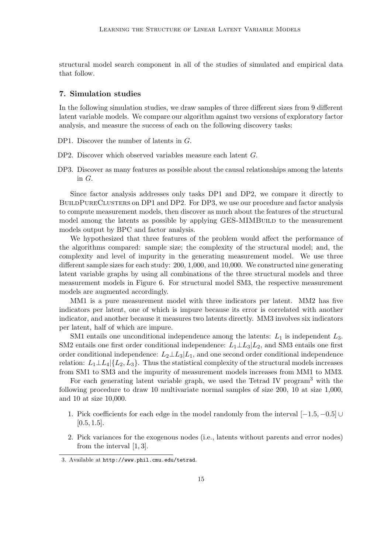structural model search component in all of the studies of simulated and empirical data that follow.

#### 7. Simulation studies

In the following simulation studies, we draw samples of three different sizes from 9 different latent variable models. We compare our algorithm against two versions of exploratory factor analysis, and measure the success of each on the following discovery tasks:

- DP1. Discover the number of latents in G.
- DP2. Discover which observed variables measure each latent G.
- DP3. Discover as many features as possible about the causal relationships among the latents in G.

Since factor analysis addresses only tasks DP1 and DP2, we compare it directly to BUILDPURECLUSTERS on DP1 and DP2. For DP3, we use our procedure and factor analysis to compute measurement models, then discover as much about the features of the structural model among the latents as possible by applying GES-MIMBUILD to the measurement models output by BPC and factor analysis.

We hypothesized that three features of the problem would affect the performance of the algorithms compared: sample size; the complexity of the structural model; and, the complexity and level of impurity in the generating measurement model. We use three different sample sizes for each study: 200, 1,000, and 10,000. We constructed nine generating latent variable graphs by using all combinations of the three structural models and three measurement models in Figure 6. For structural model SM3, the respective measurement models are augmented accordingly.

MM1 is a pure measurement model with three indicators per latent. MM2 has five indicators per latent, one of which is impure because its error is correlated with another indicator, and another because it measures two latents directly. MM3 involves six indicators per latent, half of which are impure.

SM1 entails one unconditional independence among the latents:  $L_1$  is independent  $L_3$ . SM2 entails one first order conditional independence:  $L_1 \perp L_3 | L_2$ , and SM3 entails one first order conditional independence:  $L_2 \perp L_3 | L_1$ , and one second order conditional independence relation:  $L_1 \perp L_4$ ,  $\{L_2, L_3\}$ . Thus the statistical complexity of the structural models increases from SM1 to SM3 and the impurity of measurement models increases from MM1 to MM3.

For each generating latent variable graph, we used the Tetrad IV program<sup>3</sup> with the following procedure to draw 10 multivariate normal samples of size 200, 10 at size 1,000, and 10 at size 10,000.

- 1. Pick coefficients for each edge in the model randomly from the interval [−1.5, −0.5] ∪  $[0.5, 1.5]$ .
- 2. Pick variances for the exogenous nodes (i.e., latents without parents and error nodes) from the interval [1, 3].

<sup>3.</sup> Available at http://www.phil.cmu.edu/tetrad.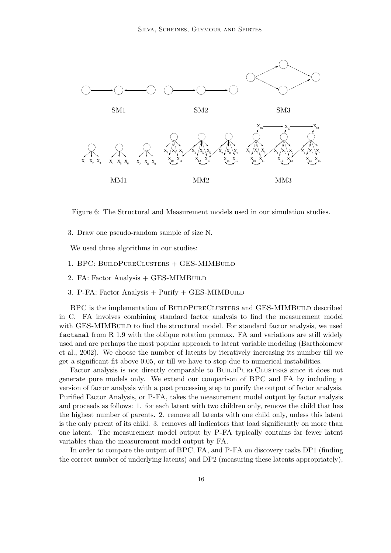

Figure 6: The Structural and Measurement models used in our simulation studies.

3. Draw one pseudo-random sample of size N.

We used three algorithms in our studies:

- 1. BPC: BuildPureClusters + GES-MIMBuild
- 2. FA: Factor Analysis + GES-MIMBUILD
- 3. P-FA: Factor Analysis + Purify + GES-MIMBUILD

BPC is the implementation of BUILDPURECLUSTERS and GES-MIMBUILD described in C. FA involves combining standard factor analysis to find the measurement model with GES-MIMBUILD to find the structural model. For standard factor analysis, we used factanal from R 1.9 with the oblique rotation promax. FA and variations are still widely used and are perhaps the most popular approach to latent variable modeling (Bartholomew et al., 2002). We choose the number of latents by iteratively increasing its number till we get a significant fit above 0.05, or till we have to stop due to numerical instabilities.

Factor analysis is not directly comparable to BUILDPURECLUSTERS since it does not generate pure models only. We extend our comparison of BPC and FA by including a version of factor analysis with a post processing step to purify the output of factor analysis. Purified Factor Analysis, or P-FA, takes the measurement model output by factor analysis and proceeds as follows: 1. for each latent with two children only, remove the child that has the highest number of parents. 2. remove all latents with one child only, unless this latent is the only parent of its child. 3. removes all indicators that load significantly on more than one latent. The measurement model output by P-FA typically contains far fewer latent variables than the measurement model output by FA.

In order to compare the output of BPC, FA, and P-FA on discovery tasks DP1 (finding the correct number of underlying latents) and DP2 (measuring these latents appropriately),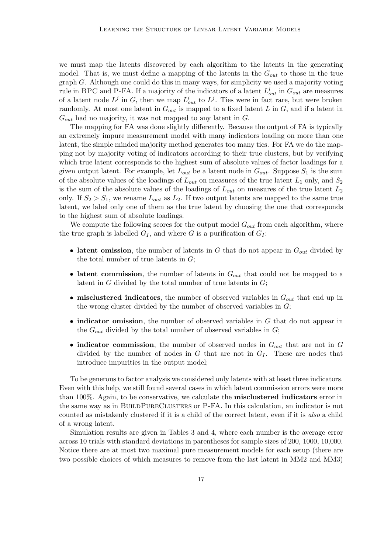we must map the latents discovered by each algorithm to the latents in the generating model. That is, we must define a mapping of the latents in the  $G_{out}$  to those in the true graph G. Although one could do this in many ways, for simplicity we used a majority voting rule in BPC and P-FA. If a majority of the indicators of a latent  $L_{out}^i$  in  $G_{out}$  are measures of a latent node  $L^j$  in G, then we map  $L^i_{out}$  to  $L^j$ . Ties were in fact rare, but were broken randomly. At most one latent in  $G_{out}$  is mapped to a fixed latent L in G, and if a latent in  $G_{out}$  had no majority, it was not mapped to any latent in  $G$ .

The mapping for FA was done slightly differently. Because the output of FA is typically an extremely impure measurement model with many indicators loading on more than one latent, the simple minded majority method generates too many ties. For FA we do the mapping not by majority voting of indicators according to their true clusters, but by verifying which true latent corresponds to the highest sum of absolute values of factor loadings for a given output latent. For example, let  $L_{out}$  be a latent node in  $G_{out}$ . Suppose  $S_1$  is the sum of the absolute values of the loadings of  $L_{out}$  on measures of the true latent  $L_1$  only, and  $S_2$ is the sum of the absolute values of the loadings of  $L_{out}$  on measures of the true latent  $L_2$ only. If  $S_2 > S_1$ , we rename  $L_{out}$  as  $L_2$ . If two output latents are mapped to the same true latent, we label only one of them as the true latent by choosing the one that corresponds to the highest sum of absolute loadings.

We compute the following scores for the output model  $G_{out}$  from each algorithm, where the true graph is labelled  $G_I$ , and where G is a purification of  $G_I$ :

- latent omission, the number of latents in G that do not appear in  $G_{out}$  divided by the total number of true latents in  $G$ ;
- latent commission, the number of latents in  $G_{out}$  that could not be mapped to a latent in  $G$  divided by the total number of true latents in  $G$ ;
- misclustered indicators, the number of observed variables in  $G_{out}$  that end up in the wrong cluster divided by the number of observed variables in  $G$ ;
- indicator omission, the number of observed variables in G that do not appear in the  $G_{out}$  divided by the total number of observed variables in  $G$ ;
- indicator commission, the number of observed nodes in  $G_{out}$  that are not in G divided by the number of nodes in  $G$  that are not in  $G_I$ . These are nodes that introduce impurities in the output model;

To be generous to factor analysis we considered only latents with at least three indicators. Even with this help, we still found several cases in which latent commission errors were more than 100%. Again, to be conservative, we calculate the misclustered indicators error in the same way as in BUILDPURECLUSTERS or P-FA. In this calculation, an indicator is not counted as mistakenly clustered if it is a child of the correct latent, even if it is also a child of a wrong latent.

Simulation results are given in Tables 3 and 4, where each number is the average error across 10 trials with standard deviations in parentheses for sample sizes of 200, 1000, 10,000. Notice there are at most two maximal pure measurement models for each setup (there are two possible choices of which measures to remove from the last latent in MM2 and MM3)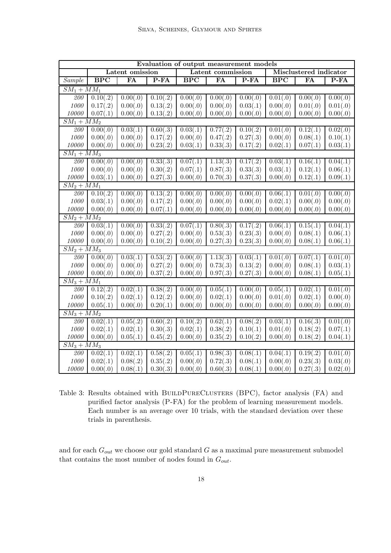| Evaluation of output measurement models |                 |          |                   |            |                        |                       |            |                       |          |
|-----------------------------------------|-----------------|----------|-------------------|------------|------------------------|-----------------------|------------|-----------------------|----------|
|                                         | Latent omission |          | Latent commission |            | Misclustered indicator |                       |            |                       |          |
| Sample                                  | BPC             | FA       | $P$ -FA           | <b>BPC</b> | FA                     | $P-FA$                | <b>BPC</b> | FA                    | $P$ -FA  |
| $\overline{SM_1+MM_1}$                  |                 |          |                   |            |                        |                       |            |                       |          |
| 200                                     | 0.10(.2)        | 0.00(.0) | 0.10(.2)          | 0.00(.0)   | 0.00(.0)               | 0.00(.0)              | 0.01(.0)   | 0.00(.0)              | 0.00(.0) |
| $1000\,$                                | 0.17(.2)        | 0.00(.0) | 0.13(.2)          | 0.00(.0)   | 0.00(.0)               | 0.03(.1)              | 0.00(.0)   | 0.01(.0)              | 0.01(.0) |
| $10000\,$                               | 0.07(.1)        | 0.00(.0) | 0.13(.2)          | 0.00(.0)   | 0.00(.0)               | 0.00(.0)              | 0.00(.0)   | 0.00(.0)              | 0.00(.0) |
| $SM_1 + MM_2$                           |                 |          |                   |            |                        |                       |            |                       |          |
| 200                                     | 0.00(.0)        | 0.03(.1) | 0.60(.3)          | 0.03(.1)   | 0.77(.2)               | 0.10(.2)              | 0.01(.0)   | 0.12(.1)              | 0.02(.0) |
| 1000                                    | 0.00(.0)        | 0.00(.0) | 0.17(.2)          | 0.00(.0)   | 0.47(.2)               | 0.27(.3)              | 0.00(.0)   | 0.08(.1)              | 0.10(.1) |
| 10000                                   | 0.00(.0)        | 0.00(.0) | 0.23(.2)          | 0.03(.1)   | 0.33(.3)               | 0.17(.2)              | 0.02(.1)   | 0.07(.1)              | 0.03(.1) |
| $\overline{SM_1 + MM_3}$                |                 |          |                   |            |                        |                       |            |                       |          |
| 200                                     | 0.00(.0)        | 0.00(.0) | 0.33(.3)          | 0.07(.1)   | 1.13(.3)               | $\overline{0.17(.2)}$ | 0.03(.1)   | $\overline{0.16}(.1)$ | 0.04(.1) |
| 1000                                    | 0.00(.0)        | 0.00(.0) | 0.30(.2)          | 0.07(.1)   | 0.87(.3)               | 0.33(.3)              | 0.03(.1)   | 0.12(.1)              | 0.06(.1) |
| 10000                                   | 0.03(.1)        | 0.00(.0) | 0.27(.3)          | 0.00(.0)   | 0.70(.3)               | 0.37(.3)              | 0.00(.0)   | 0.12(.1)              | 0.09(.1) |
| $\overline{SM_2 + MM_1}$                |                 |          |                   |            |                        |                       |            |                       |          |
| 200                                     | 0.10(.2)        | 0.00(.0) | 0.13(.2)          | 0.00(.0)   | 0.00(.0)               | 0.00(.0)              | 0.06(.1)   | 0.01(.0)              | 0.00(.0) |
| 1000                                    | 0.03(.1)        | 0.00(.0) | 0.17(.2)          | 0.00(.0)   | 0.00(.0)               | 0.00(.0)              | 0.02(.1)   | 0.00(.0)              | 0.00(.0) |
| 10000                                   | 0.00(.0)        | 0.00(.0) | 0.07(.1)          | 0.00(.0)   | 0.00(.0)               | 0.00(.0)              | 0.00(.0)   | 0.00(.0)              | 0.00(.0) |
| $SM_2 + MM_2$                           |                 |          |                   |            |                        |                       |            |                       |          |
| 200                                     | 0.03(.1)        | 0.00(.0) | 0.33(.2)          | 0.07(.1)   | 0.80(.3)               | 0.17(.2)              | 0.06(.1)   | 0.15(.1)              | 0.04(.1) |
| 1000                                    | 0.00(.0)        | 0.00(.0) | 0.27(.2)          | 0.00(.0)   | 0.53(.3)               | 0.23(.3)              | 0.00(.0)   | 0.08(.1)              | 0.06(.1) |
| $10000\,$                               | 0.00(.0)        | 0.00(.0) | 0.10(.2)          | 0.00(.0)   | 0.27(.3)               | 0.23(.3)              | 0.00(.0)   | 0.08(.1)              | 0.06(.1) |
| $SM_2 + MM_3$                           |                 |          |                   |            |                        |                       |            |                       |          |
| 200                                     | 0.00(.0)        | 0.03(.1) | 0.53(.2)          | 0.00(.0)   | 1.13(.3)               | 0.03(.1)              | 0.01(.0)   | 0.07(.1)              | 0.01(.0) |
| $1000\,$                                | 0.00(.0)        | 0.00(.0) | 0.27(.2)          | 0.00(.0)   | 0.73(.3)               | 0.13(.2)              | 0.00(.0)   | 0.08(.1)              | 0.03(.1) |
| $10000\,$                               | 0.00(.0)        | 0.00(.0) | 0.37(.2)          | 0.00(.0)   | 0.97(.3)               | 0.27(.3)              | 0.00(.0)   | 0.08(.1)              | 0.05(.1) |
| $S\overline{M_3+MM_1}$                  |                 |          |                   |            |                        |                       |            |                       |          |
| $\overline{200}$                        | 0.12(.2)        | 0.02(.1) | 0.38(.2)          | 0.00(.0)   | $\overline{0.05(.1)}$  | 0.00(.0)              | 0.05(.1)   | $\overline{0.02(.1)}$ | 0.01(.0) |
| $1000\,$                                | 0.10(.2)        | 0.02(.1) | 0.12(.2)          | 0.00(.0)   | 0.02(.1)               | 0.00(.0)              | 0.01(.0)   | 0.02(.1)              | 0.00(.0) |
| $10000\,$                               | 0.05(.1)        | 0.00(.0) | 0.20(.1)          | 0.00(.0)   | 0.00(.0)               | 0.00(.0)              | 0.00(.0)   | 0.00(.0)              | 0.00(.0) |
| $\overline{SM_3+MM_2}$                  |                 |          |                   |            |                        |                       |            |                       |          |
| 200                                     | 0.02(.1)        | 0.05(.2) | 0.60(.2)          | 0.10(.2)   | 0.62(.1)               | $\overline{0.08(.2)}$ | 0.03(.1)   | 0.16(.3)              | 0.01(.0) |
| 1000                                    | 0.02(.1)        | 0.02(.1) | 0.30(.3)          | 0.02(.1)   | 0.38(.2)               | 0.10(.1)              | 0.01(.0)   | 0.18(.2)              | 0.07(.1) |
| 10000                                   | 0.00(.0)        | 0.05(.1) | 0.45(.2)          | 0.00(.0)   | 0.35(.2)               | 0.10(.2)              | 0.00(.0)   | 0.18(.2)              | 0.04(.1) |
| $SM_3 + \overline{MM_3}$                |                 |          |                   |            |                        |                       |            |                       |          |
| 200                                     | 0.02(.1)        | 0.02(.1) | 0.58(.2)          | 0.05(.1)   | 0.98(.3)               | 0.08(.1)              | 0.04(.1)   | 0.19(.2)              | 0.01(.0) |
| 1000                                    | 0.02(.1)        | 0.08(.2) | 0.35(.2)          | 0.00(.0)   | 0.72(.3)               | 0.08(.1)              | 0.00(.0)   | 0.23(.3)              | 0.03(.0) |
| 10000                                   | 0.00(.0)        | 0.08(.1) | 0.30(.3)          | 0.00(.0)   | 0.60(.3)               | 0.08(.1)              | 0.00(.0)   | 0.27(.3)              | 0.02(.0) |

Table 3: Results obtained with BUILDPURECLUSTERS (BPC), factor analysis (FA) and purified factor analysis (P-FA) for the problem of learning measurement models. Each number is an average over 10 trials, with the standard deviation over these trials in parenthesis.

and for each  $G_{out}$  we choose our gold standard  $G$  as a maximal pure measurement submodel that contains the most number of nodes found in  $G_{out}$ .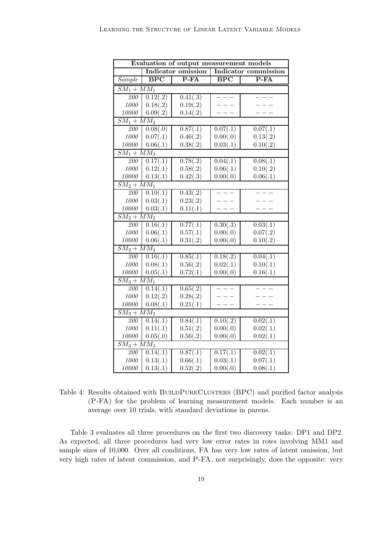|                          | Evaluation of output measurement models |                           |                      |          |  |  |  |
|--------------------------|-----------------------------------------|---------------------------|----------------------|----------|--|--|--|
|                          |                                         | <b>Indicator</b> omission | Indicator commission |          |  |  |  |
| Sample                   | <b>BPC</b>                              | $P$ -FA                   | $\overline{BPC}$     | $P$ -FA  |  |  |  |
|                          | $\overline{SM_1 + MM_1}$                |                           |                      |          |  |  |  |
| 200                      | $\overline{0.12(.2)}$                   | 0.41(.3)                  |                      |          |  |  |  |
| 1000                     | 0.18(.2)                                | 0.19(.2)                  |                      |          |  |  |  |
| 10000                    | 0.09(.2)                                | 0.14(.2)                  |                      |          |  |  |  |
| $SM_1 + MM_2$            |                                         |                           |                      |          |  |  |  |
| 200                      | 0.08(.0)                                | 0.87(.1)                  | 0.07(.1)             | 0.07(.1) |  |  |  |
| 1000                     | 0.07(.1)                                | 0.46(.2)                  | 0.00(.0)             | 0.13(.2) |  |  |  |
| 10000                    | 0.06(.1)                                | 0.38(.2)                  | 0.03(.1)             | 0.10(.2) |  |  |  |
| $\overline{SM_1 + MM_3}$ |                                         |                           |                      |          |  |  |  |
| 200                      | 0.17(.1)                                | 0.78(.2)                  | 0.04(.1)             | 0.08(.1) |  |  |  |
| 1000                     | 0.12(.1)                                | 0.58(.2)                  | 0.06(.1)             | 0.10(.2) |  |  |  |
| 10000                    | 0.13(.1)                                | 0.42(.3)                  | 0.00(.0)             | 0.06(.1) |  |  |  |
| $\overline{SM_2+MM_1}$   |                                         |                           |                      |          |  |  |  |
| 200                      | 0.10(.1)                                | 0.43(.2)                  | $- - -$              |          |  |  |  |
| 1000                     | 0.03(.1)                                | 0.23(.2)                  |                      |          |  |  |  |
| 10000                    | 0.03(.1)                                | 0.11(.1)                  |                      |          |  |  |  |
| $\overline{SM_2+MM_2}$   |                                         |                           |                      |          |  |  |  |
| $\overline{200}$         | 0.16(.1)                                | 0.77(.1)                  | 0.30(.3)             | 0.03(.1) |  |  |  |
| 1000                     | 0.06(.1)                                | 0.57(.1)                  | 0.00(.0)             | 0.07(.2) |  |  |  |
| 10000                    | 0.06(.1)                                | 0.31(.2)                  | 0.00(.0)             | 0.10(.2) |  |  |  |
| $SM_2 + MM_3$            |                                         |                           |                      |          |  |  |  |
| 200                      | 0.16(.1)                                | 0.85(.1)                  | 0.18(.2)             | 0.04(.1) |  |  |  |
| 1000                     | 0.08(.1)                                | 0.56(.2)                  | 0.02(.1)             | 0.10(.1) |  |  |  |
| 10000                    | 0.05(.1)                                | 0.72(.1)                  | 0.00(.0)             | 0.16(.1) |  |  |  |
| $SM_3 + MM_1$            |                                         |                           |                      |          |  |  |  |
| 200                      | 0.14(.1)                                | 0.65(.2)                  |                      |          |  |  |  |
| 1000                     | 0.12(.2)                                | 0.28(.2)                  |                      |          |  |  |  |
| 10000                    | 0.08(.1)                                | 0.21(.1)                  | $\cdot - \cdot$      |          |  |  |  |
| $\overline{SM_3+MM_2}$   |                                         |                           |                      |          |  |  |  |
| 200                      | $\overline{0.14(.1)}$                   | 0.84(.1)                  | 0.10(.2)             | 0.02(.1) |  |  |  |
| 1000                     | 0.11(.1)                                | 0.51(.2)                  | 0.00(.0)             | 0.02(.1) |  |  |  |
| 10000                    | 0.05(.0)                                | 0.56(.2)                  | 0.00(.0)             | 0.02(.1) |  |  |  |
| $\overline{SM_3+MM_3}$   |                                         |                           |                      |          |  |  |  |
| 200                      | 0.14(.1)                                | $0.\overline{87(.1)}$     | 0.17(.1)             | 0.02(.1) |  |  |  |
| 1000                     | 0.13(.1)                                | 0.66(.1)                  | 0.03(.1)             | 0.07(.1) |  |  |  |
| 10000                    | 0.13(.1)                                | 0.52(.2)                  | 0.00(.0)             | 0.08(.1) |  |  |  |

Table 4: Results obtained with BUILDPURECLUSTERS (BPC) and purified factor analysis (P-FA) for the problem of learning measurement models. Each number is an average over 10 trials, with standard deviations in parens.

Table 3 evaluates all three procedures on the first two discovery tasks: DP1 and DP2. As expected, all three procedures had very low error rates in rows involving MM1 and sample sizes of 10,000. Over all conditions, FA has very low rates of latent omission, but very high rates of latent commission, and P-FA, not surprisingly, does the opposite: very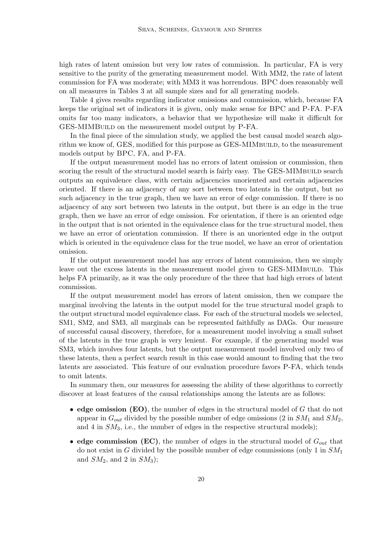high rates of latent omission but very low rates of commission. In particular, FA is very sensitive to the purity of the generating measurement model. With MM2, the rate of latent commission for FA was moderate; with MM3 it was horrendous. BPC does reasonably well on all measures in Tables 3 at all sample sizes and for all generating models.

Table 4 gives results regarding indicator omissions and commission, which, because FA keeps the original set of indicators it is given, only make sense for BPC and P-FA. P-FA omits far too many indicators, a behavior that we hypothesize will make it difficult for GES-MIMBUILD on the measurement model output by P-FA.

In the final piece of the simulation study, we applied the best causal model search algorithm we know of, GES, modified for this purpose as GES-MIMBUILD, to the measurement models output by BPC, FA, and P-FA.

If the output measurement model has no errors of latent omission or commission, then scoring the result of the structural model search is fairly easy. The GES-MIMBUILD search outputs an equivalence class, with certain adjacencies unoriented and certain adjacencies oriented. If there is an adjacency of any sort between two latents in the output, but no such adjacency in the true graph, then we have an error of edge commission. If there is no adjacency of any sort between two latents in the output, but there is an edge in the true graph, then we have an error of edge omission. For orientation, if there is an oriented edge in the output that is not oriented in the equivalence class for the true structural model, then we have an error of orientation commission. If there is an unoriented edge in the output which is oriented in the equivalence class for the true model, we have an error of orientation omission.

If the output measurement model has any errors of latent commission, then we simply leave out the excess latents in the measurement model given to GES-MIMBUILD. This helps FA primarily, as it was the only procedure of the three that had high errors of latent commission.

If the output measurement model has errors of latent omission, then we compare the marginal involving the latents in the output model for the true structural model graph to the output structural model equivalence class. For each of the structural models we selected, SM1, SM2, and SM3, all marginals can be represented faithfully as DAGs. Our measure of successful causal discovery, therefore, for a measurement model involving a small subset of the latents in the true graph is very lenient. For example, if the generating model was SM3, which involves four latents, but the output measurement model involved only two of these latents, then a perfect search result in this case would amount to finding that the two latents are associated. This feature of our evaluation procedure favors P-FA, which tends to omit latents.

In summary then, our measures for assessing the ability of these algorithms to correctly discover at least features of the causal relationships among the latents are as follows:

- edge omission  $(EO)$ , the number of edges in the structural model of G that do not appear in  $G_{out}$  divided by the possible number of edge omissions (2 in  $SM_1$  and  $SM_2$ ) and 4 in  $SM_3$ , i.e., the number of edges in the respective structural models);
- edge commission (EC), the number of edges in the structural model of  $G_{out}$  that do not exist in G divided by the possible number of edge commissions (only 1 in  $SM_1$ ) and  $SM_2$ , and 2 in  $SM_3$ ;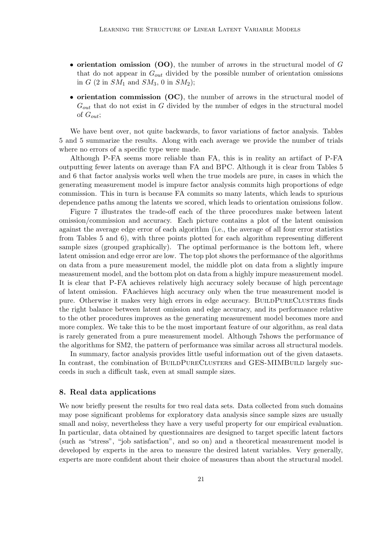- orientation omission (OO), the number of arrows in the structural model of  $G$ that do not appear in  $G_{out}$  divided by the possible number of orientation omissions in G  $(2 \text{ in } SM_1 \text{ and } SM_3, 0 \text{ in } SM_2);$
- orientation commission (OC), the number of arrows in the structural model of  $G_{out}$  that do not exist in G divided by the number of edges in the structural model of  $G_{out}$ ;

We have bent over, not quite backwards, to favor variations of factor analysis. Tables 5 and 5 summarize the results. Along with each average we provide the number of trials where no errors of a specific type were made.

Although P-FA seems more reliable than FA, this is in reality an artifact of P-FA outputting fewer latents on average than FA and BPC. Although it is clear from Tables 5 and 6 that factor analysis works well when the true models are pure, in cases in which the generating measurement model is impure factor analysis commits high proportions of edge commission. This in turn is because FA commits so many latents, which leads to spurious dependence paths among the latents we scored, which leads to orientation omissions follow.

Figure 7 illustrates the trade-off each of the three procedures make between latent omission/commission and accuracy. Each picture contains a plot of the latent omission against the average edge error of each algorithm (i.e., the average of all four error statistics from Tables 5 and 6), with three points plotted for each algorithm representing different sample sizes (grouped graphically). The optimal performance is the bottom left, where latent omission and edge error are low. The top plot shows the performance of the algorithms on data from a pure measurement model, the middle plot on data from a slightly impure measurement model, and the bottom plot on data from a highly impure measurement model. It is clear that P-FA achieves relatively high accuracy solely because of high percentage of latent omission. FAachieves high accuracy only when the true measurement model is pure. Otherwise it makes very high errors in edge accuracy. BUILDPURECLUSTERS finds the right balance between latent omission and edge accuracy, and its performance relative to the other procedures improves as the generating measurement model becomes more and more complex. We take this to be the most important feature of our algorithm, as real data is rarely generated from a pure measurement model. Although 7shows the performance of the algorithms for SM2, the pattern of performance was similar across all structural models.

In summary, factor analysis provides little useful information out of the given datasets. In contrast, the combination of BUILDPURECLUSTERS and GES-MIMBUILD largely succeeds in such a difficult task, even at small sample sizes.

### 8. Real data applications

We now briefly present the results for two real data sets. Data collected from such domains may pose significant problems for exploratory data analysis since sample sizes are usually small and noisy, nevertheless they have a very useful property for our empirical evaluation. In particular, data obtained by questionnaires are designed to target specific latent factors (such as "stress", "job satisfaction", and so on) and a theoretical measurement model is developed by experts in the area to measure the desired latent variables. Very generally, experts are more confident about their choice of measures than about the structural model.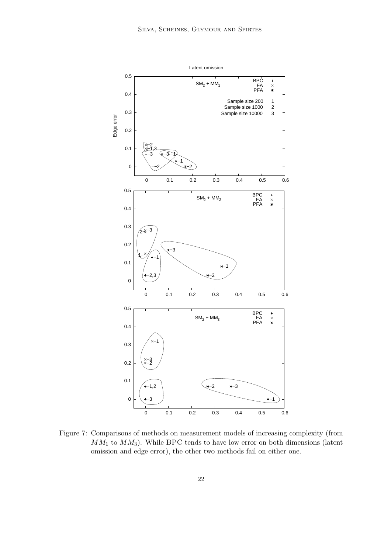

Figure 7: Comparisons of methods on measurement models of increasing complexity (from  $MM_1$  to  $MM_3$ ). While BPC tends to have low error on both dimensions (latent omission and edge error), the other two methods fail on either one.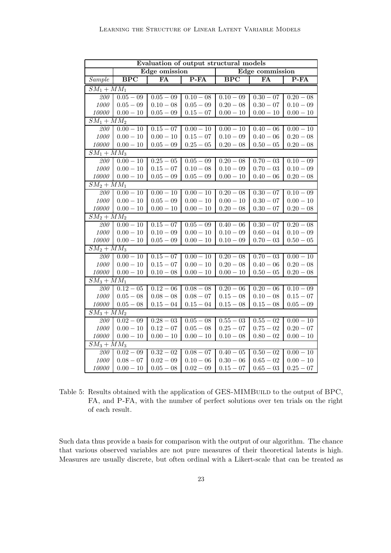| Evaluation of output structural models |                          |                      |                        |                         |             |             |  |
|----------------------------------------|--------------------------|----------------------|------------------------|-------------------------|-------------|-------------|--|
|                                        |                          | Edge omission        |                        | Edge commission         |             |             |  |
| Sample                                 | <b>BPC</b>               | FA                   | $P-FA$                 | $\overline{\text{BPC}}$ | FA          | $P-FA$      |  |
|                                        | $\overline{SM_1 + MM_1}$ |                      |                        |                         |             |             |  |
| 200                                    | $0.05 - 09$              | $0.05 - 09$          | $0.10 - 08$            | $0.10 - 09$             | $0.30 - 07$ | $0.20 - 08$ |  |
| 1000                                   | $0.05 - 09$              | $0.10 - 08$          | $0.05-09\,$            | $0.20 - 08$             | $0.30 - 07$ | $0.10 - 09$ |  |
| 10000                                  | $0.00 - 10$              | $0.05 - 09$          | $0.15 - 07$            | $0.00 - 10$             | $0.00-10\,$ | $0.00 - 10$ |  |
| $SM_1 + \overline{MM_2}$               |                          |                      |                        |                         |             |             |  |
| 200                                    | $\overline{0.00 - 10}$   | $0.15 - 07$          | $0.00 - 10$            | $0.00 - 10$             | $0.40 - 06$ | $0.00 - 10$ |  |
| 1000                                   | $0.00 - 10$              | $0.00 - 10$          | $0.15 - 07$            | $0.10 - 09$             | $0.40 - 06$ | $0.20 - 08$ |  |
| 10000                                  | $0.00 - 10$              | $0.05-09\,$          | $0.25 - 05$            | $0.20 - 08$             | $0.50 - 05$ | $0.20 - 08$ |  |
| $SM_1 + MM_3$                          |                          |                      |                        |                         |             |             |  |
| 200                                    | $0.00 - 10$              | $0.25 - 05$          | $0.05 - 09$            | $0.20 - 08$             | $0.70 - 03$ | $0.10 - 09$ |  |
| 1000                                   | $0.00 - 10$              | $0.15 - 07$          | $0.10 - 08$            | $0.10 - 09$             | $0.70 - 03$ | $0.10 - 09$ |  |
| 10000                                  | $0.00 - 10$              | $0.05 - 09$          | $0.05 - 09$            | $0.00 - 10$             | $0.40 - 06$ | $0.20 - 08$ |  |
| $SM_2 + M\overline{M_1}$               |                          |                      |                        |                         |             |             |  |
| 200                                    | $0.00 - 10$              | $0.00 - 10$          | $0.00 - 10$            | $0.20 - 08$             | $0.30 - 07$ | $0.10 - 09$ |  |
| 1000                                   | $0.00 - 10$              | $0.05 - 09$          | $0.00 - 10$            | $0.00 - 10$             | $0.30 - 07$ | $0.00 - 10$ |  |
| 10000                                  | $0.00 - 10$              | $0.00 - 10$          | $0.00 - 10$            | $0.20 - 08$             | $0.30 - 07$ | $0.20 - 08$ |  |
| $SM_2 + MM_2$                          |                          |                      |                        |                         |             |             |  |
| $\overline{200}$                       | $0.00 - 10$              | $0.15 - 07$          | $0.05 - 09$            | $0.40 - 06$             | $0.30 - 07$ | $0.20 - 08$ |  |
| 1000                                   | $0.00 - 10$              | $0.10 - 09$          | $0.00 - 10$            | $0.10 - 09$             | $0.60 - 04$ | $0.10 - 09$ |  |
| 10000                                  | $0.00 - 10$              | $0.05 - 09$          | $0.00 - 10$            | $0.10 - 09$             | $0.70 - 03$ | $0.50 - 05$ |  |
| $SM_2 + MM_3$                          |                          |                      |                        |                         |             |             |  |
| 200                                    | $0.00 - 10$              | $0.\overline{15-07}$ | $0.00 - 10$            | $0.20 - 08$             | $0.70 - 03$ | $0.00 - 10$ |  |
| 1000                                   | $0.00 - 10$              | $0.15 - 07$          | $0.00 - 10$            | $0.20 - 08$             | $0.40 - 06$ | $0.20 - 08$ |  |
| 10000                                  | $0.00 - 10$              | $0.10 - 08$          | $0.00 - 10$            | $0.00 - 10$             | $0.50 - 05$ | $0.20 - 08$ |  |
|                                        | $SM_3 + MM_1$            |                      |                        |                         |             |             |  |
| 200                                    | $\overline{0.12} - 05$   | $0.12 - 06$          | $0.08 - 08$            | $0.20 - 06$             | $0.20 - 06$ | $0.10 - 09$ |  |
| 1000                                   | $0.05 - 08$              | $0.08 - 08$          | $0.08 - 07$            | $0.15 - 08$             | $0.10 - 08$ | $0.15 - 07$ |  |
| 10000                                  | $0.05 - 08$              | $0.15 - 04$          | $0.15 - 04$            | $0.15 - 08$             | $0.15 - 08$ | $0.05 - 09$ |  |
| $\overline{SM_3+MM_2}$                 |                          |                      |                        |                         |             |             |  |
| 200                                    | $0.02 - 09$              | $0.28 - 03$          | $0.05 - 08$            | $0.55 - 03$             | $0.55 - 02$ | $0.00 - 10$ |  |
| 1000                                   | $0.00 - 10$              | $0.12 - 07$          | $0.05 - 08$            | $0.25 - 07$             | $0.75 - 02$ | $0.20 - 07$ |  |
| 10000                                  | $0.00 - 10$              | $0.00 - 10$          | $0.00 - 10$            | $0.10 - 08$             | $0.80 - 02$ | $0.00 - 10$ |  |
| $\overline{SM_3+MM_3}$                 |                          |                      |                        |                         |             |             |  |
| 200                                    | $0.02 - 09$              | $0.32 - 02$          | $\overline{0.08} - 07$ | $0.40 - 05$             | $0.50 - 02$ | $0.00 - 10$ |  |
| $1000\,$                               | $0.08 - 07$              | $0.02 - 09$          | $0.10 - 06$            | $0.30 - 06$             | $0.65 - 02$ | $0.00 - 10$ |  |
| 10000                                  | $0.00 - 10$              | $0.05 - 08$          | $0.02 - 09$            | $0.15 - 07$             | $0.65 - 03$ | $0.25 - 07$ |  |

Table 5: Results obtained with the application of GES-MIMBUILD to the output of BPC, FA, and P-FA, with the number of perfect solutions over ten trials on the right of each result.

Such data thus provide a basis for comparison with the output of our algorithm. The chance that various observed variables are not pure measures of their theoretical latents is high. Measures are usually discrete, but often ordinal with a Likert-scale that can be treated as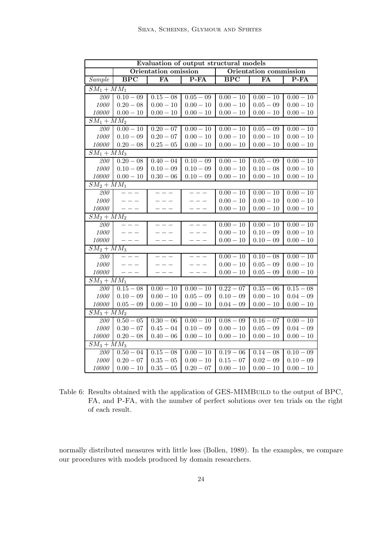| Evaluation of output structural models |                                                |                        |                        |                        |                        |             |
|----------------------------------------|------------------------------------------------|------------------------|------------------------|------------------------|------------------------|-------------|
|                                        | Orientation omission<br>Orientation commission |                        |                        |                        |                        |             |
| Sample                                 | $\overline{BPC}$                               | FA                     | P-FA                   | <b>BPC</b>             | FA                     | $P-FA$      |
| $SM_1 + MM_1$                          |                                                |                        |                        |                        |                        |             |
| 200                                    | $0.10 - 09$                                    | $0.15 - \overline{08}$ | $0.05 - 09$            | $0.00 - 10$            | $0.00 - 10$            | $0.00 - 10$ |
| $1000\,$                               | $0.20 - 08$                                    | $0.00 - 10$            | $0.00 - 10$            | $0.00 - 10$            | $0.05 - 09$            | $0.00 - 10$ |
| 10000                                  | $0.00 - 10$                                    | $0.00 - 10$            | $0.00-10\,$            | $0.00 - 10$            | $0.00 - 10$            | $0.00 - 10$ |
| $\overline{SM_1 + MM_2}$               |                                                |                        |                        |                        |                        |             |
| 200                                    | $\overline{0.00 - 10}$                         | $0.20 - 07$            | $0.00 - 10$            | $0.00 - 10$            | $0.05 - 09$            | $0.00 - 10$ |
| 1000                                   | $0.10 - 09$                                    | $0.20 - 07$            | $0.00 - 10$            | $0.00 - 10$            | $0.00 - 10$            | $0.00 - 10$ |
| 10000                                  | $0.20 - 08$                                    | $0.25 - 05$            | $0.00 - 10$            | $0.00 - 10$            | $0.00 - 10$            | $0.00 - 10$ |
| $SM_1 + MM_3$                          |                                                |                        |                        |                        |                        |             |
| 200                                    | $0.\overline{20 - 08}$                         | $0.40 - 04$            | $0.10 - 09$            | $0.00 - 10$            | $0.05 - 09$            | $0.00 - 10$ |
| 1000                                   | $0.10 - 09$                                    | $0.10 - 09$            | $0.10 - 09$            | $0.00 - 10$            | $0.10 - 08$            | $0.00 - 10$ |
| 10000                                  | $0.00 - 10$                                    | $0.30 - 06$            | $0.10 - 09$            | $0.00 - 10$            | $0.00 - 10$            | $0.00 - 10$ |
| $SM_2 + MM_1$                          |                                                |                        |                        |                        |                        |             |
| 200                                    |                                                |                        |                        | $0.00 - 10$            | $0.00 - 10$            | $0.00 - 10$ |
| $1000\,$                               | $- - -$                                        |                        |                        | $0.00 - 10$            | $0.00 - 10$            | $0.00 - 10$ |
| 10000                                  | $- - -$                                        | $--$                   | $- - -$                | $0.00 - 10$            | $0.00 - 10$            | $0.00 - 10$ |
| $SM_2 + MM_2$                          |                                                |                        |                        |                        |                        |             |
| 200                                    | $- - -$                                        | $- - -$                | $- - -$                | $0.00 - 10$            | $0.00 - 10$            | $0.00 - 10$ |
| 1000                                   | $\frac{1}{2}$                                  | $---$                  | $- - -$                | $0.00 - 10$            | $0.10 - 09$            | $0.00 - 10$ |
| 10000                                  | $-- -$                                         | $  -$                  | $---$                  | $0.00 - 10$            | $0.10 - 09$            | $0.00 - 10$ |
| $SM_2 + MM_3$                          |                                                |                        |                        |                        |                        |             |
| 200                                    | $- - -$                                        | $- - -$                | $- - -$                | $0.00 - 10$            | $0.10 - 08$            | $0.00 - 10$ |
| 1000                                   | $- - -$                                        |                        | $- - -$                | $0.00 - 10$            | $0.05 - 09$            | $0.00 - 10$ |
| 10000                                  | $- - -$                                        |                        | $- - -$                | $0.00 - 10$            | $0.05 - 09$            | $0.00 - 10$ |
| $SM_3 + MM_1$                          |                                                |                        |                        |                        |                        |             |
| 200                                    | $0.15 - 08$                                    | $0.00 - 10$            | $\overline{0.00} - 10$ | $0.22 - 07$            | $0.35 - 06$            | $0.15 - 08$ |
| 1000                                   | $0.10 - 09$                                    | $0.00 - 10$            | $0.05 - 09$            | $0.10 - 09$            | $0.00 - 10$            | $0.04 - 09$ |
| 10000                                  | $0.05 - 09$                                    | $0.00 - 10$            | $0.00 - 10$            | $0.04 - 09$            | $0.00 - 10$            | $0.00 - 10$ |
| $SM_3 + MM_2$                          |                                                |                        |                        |                        |                        |             |
| 200                                    | $0.50 - 05$                                    | $\overline{0.30} - 06$ | $0.00 - 10$            | $\overline{0.08} - 09$ | $\overline{0.16} - 07$ | $0.00 - 10$ |
| $1000\,$<br>10000                      | $0.30 - 07$                                    | $0.45 - 04$            | $0.10 - 09$            | $0.00 - 10$            | $0.05 - 09$            | $0.04 - 09$ |
|                                        | $0.20 - 08$                                    | $0.40 - 06$            | $0.00 - 10$            | $0.00 - 10$            | $0.00 - 10$            | $0.00 - 10$ |
| $SM_3 + MM_3$<br>200                   | $0.50 - 04$                                    | $0.15 - \overline{08}$ | $0.00 - 10$            | $0.19 - 06$            | $0.14 - 08$            | $0.10 - 09$ |
| 1000                                   | $0.20 - 07$                                    | $0.35 - 05$            | $0.00 - 10$            | $0.15 - 07$            | $0.02 - 09$            | $0.10 - 09$ |
| 10000                                  | $0.00 - 10$                                    | $0.35 - 05$            | $0.20 - 07$            | $0.00 - 10$            | $0.00 - 10$            | $0.00 - 10$ |
|                                        |                                                |                        |                        |                        |                        |             |

Table 6: Results obtained with the application of GES-MIMBUILD to the output of BPC, FA, and P-FA, with the number of perfect solutions over ten trials on the right of each result.

normally distributed measures with little loss (Bollen, 1989). In the examples, we compare our procedures with models produced by domain researchers.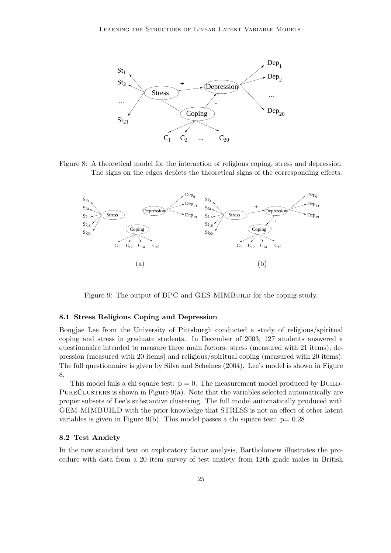

Figure 8: A theoretical model for the interaction of religious coping, stress and depression. The signs on the edges depicts the theoretical signs of the corresponding effects.



Figure 9: The output of BPC and GES-MIMBUILD for the coping study.

#### 8.1 Stress Religious Coping and Depression

Bongjae Lee from the University of Pittsburgh conducted a study of religious/spiritual coping and stress in graduate students. In December of 2003, 127 students answered a questionnaire intended to measure three main factors: stress (measured with 21 items), depression (measured with 20 items) and religious/spiritual coping (measured with 20 items). The full questionnaire is given by Silva and Scheines (2004). Lee's model is shown in Figure 8.

This model fails a chi square test:  $p = 0$ . The measurement model produced by BUILD-PURECLUSTERS is shown in Figure  $9(a)$ . Note that the variables selected automatically are proper subsets of Lee's substantive clustering. The full model automatically produced with GEM-MIMBUILD with the prior knowledge that STRESS is not an effect of other latent variables is given in Figure 9(b). This model passes a chi square test:  $p= 0.28$ .

#### 8.2 Test Anxiety

In the now standard text on exploratory factor analysis, Bartholomew illustrates the procedure with data from a 20 item survey of test anxiety from 12th grade males in British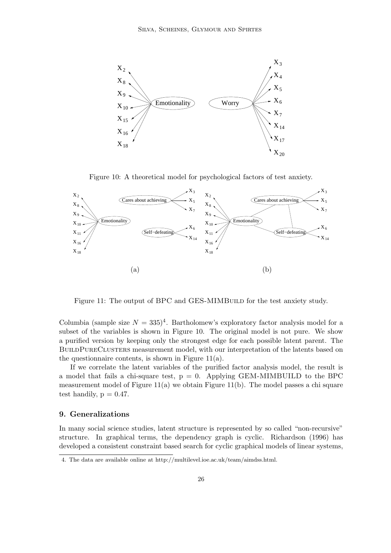

Figure 10: A theoretical model for psychological factors of test anxiety.



Figure 11: The output of BPC and GES-MIMBUILD for the test anxiety study.

Columbia (sample size  $N = 335$ )<sup>4</sup>. Bartholomew's exploratory factor analysis model for a subset of the variables is shown in Figure 10. The original model is not pure. We show a purified version by keeping only the strongest edge for each possible latent parent. The BUILDPURECLUSTERS measurement model, with our interpretation of the latents based on the questionnaire contents, is shown in Figure  $11(a)$ .

If we correlate the latent variables of the purified factor analysis model, the result is a model that fails a chi-square test,  $p = 0$ . Applying GEM-MIMBUILD to the BPC measurement model of Figure 11(a) we obtain Figure 11(b). The model passes a chi square test handily,  $p = 0.47$ .

### 9. Generalizations

In many social science studies, latent structure is represented by so called "non-recursive" structure. In graphical terms, the dependency graph is cyclic. Richardson (1996) has developed a consistent constraint based search for cyclic graphical models of linear systems,

<sup>4.</sup> The data are available online at http://multilevel.ioe.ac.uk/team/aimdss.html.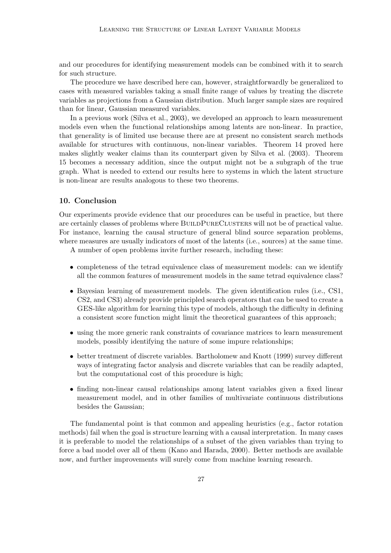and our procedures for identifying measurement models can be combined with it to search for such structure.

The procedure we have described here can, however, straightforwardly be generalized to cases with measured variables taking a small finite range of values by treating the discrete variables as projections from a Gaussian distribution. Much larger sample sizes are required than for linear, Gaussian measured variables.

In a previous work (Silva et al., 2003), we developed an approach to learn measurement models even when the functional relationships among latents are non-linear. In practice, that generality is of limited use because there are at present no consistent search methods available for structures with continuous, non-linear variables. Theorem 14 proved here makes slightly weaker claims than its counterpart given by Silva et al. (2003). Theorem 15 becomes a necessary addition, since the output might not be a subgraph of the true graph. What is needed to extend our results here to systems in which the latent structure is non-linear are results analogous to these two theorems.

### 10. Conclusion

Our experiments provide evidence that our procedures can be useful in practice, but there are certainly classes of problems where BUILDPURECLUSTERS will not be of practical value. For instance, learning the causal structure of general blind source separation problems, where measures are usually indicators of most of the latents (i.e., sources) at the same time.

A number of open problems invite further research, including these:

- completeness of the tetrad equivalence class of measurement models: can we identify all the common features of measurement models in the same tetrad equivalence class?
- Bayesian learning of measurement models. The given identification rules (i.e., CS1, CS2, and CS3) already provide principled search operators that can be used to create a GES-like algorithm for learning this type of models, although the difficulty in defining a consistent score function might limit the theoretical guarantees of this approach;
- using the more generic rank constraints of covariance matrices to learn measurement models, possibly identifying the nature of some impure relationships;
- better treatment of discrete variables. Bartholomew and Knott (1999) survey different ways of integrating factor analysis and discrete variables that can be readily adapted, but the computational cost of this procedure is high;
- finding non-linear causal relationships among latent variables given a fixed linear measurement model, and in other families of multivariate continuous distributions besides the Gaussian;

The fundamental point is that common and appealing heuristics (e.g., factor rotation methods) fail when the goal is structure learning with a causal interpretation. In many cases it is preferable to model the relationships of a subset of the given variables than trying to force a bad model over all of them (Kano and Harada, 2000). Better methods are available now, and further improvements will surely come from machine learning research.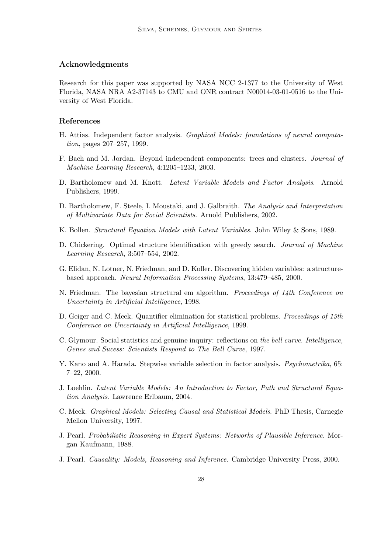#### Acknowledgments

Research for this paper was supported by NASA NCC 2-1377 to the University of West Florida, NASA NRA A2-37143 to CMU and ONR contract N00014-03-01-0516 to the University of West Florida.

#### References

- H. Attias. Independent factor analysis. Graphical Models: foundations of neural computation, pages 207–257, 1999.
- F. Bach and M. Jordan. Beyond independent components: trees and clusters. Journal of Machine Learning Research, 4:1205–1233, 2003.
- D. Bartholomew and M. Knott. Latent Variable Models and Factor Analysis. Arnold Publishers, 1999.
- D. Bartholomew, F. Steele, I. Moustaki, and J. Galbraith. The Analysis and Interpretation of Multivariate Data for Social Scientists. Arnold Publishers, 2002.
- K. Bollen. Structural Equation Models with Latent Variables. John Wiley & Sons, 1989.
- D. Chickering. Optimal structure identification with greedy search. Journal of Machine Learning Research, 3:507–554, 2002.
- G. Elidan, N. Lotner, N. Friedman, and D. Koller. Discovering hidden variables: a structurebased approach. Neural Information Processing Systems, 13:479–485, 2000.
- N. Friedman. The bayesian structural em algorithm. Proceedings of 14th Conference on Uncertainty in Artificial Intelligence, 1998.
- D. Geiger and C. Meek. Quantifier elimination for statistical problems. Proceedings of 15th Conference on Uncertainty in Artificial Intelligence, 1999.
- C. Glymour. Social statistics and genuine inquiry: reflections on the bell curve. Intelligence, Genes and Sucess: Scientists Respond to The Bell Curve, 1997.
- Y. Kano and A. Harada. Stepwise variable selection in factor analysis. *Psychometrika*, 65: 7–22, 2000.
- J. Loehlin. Latent Variable Models: An Introduction to Factor, Path and Structural Equation Analysis. Lawrence Erlbaum, 2004.
- C. Meek. Graphical Models: Selecting Causal and Statistical Models. PhD Thesis, Carnegie Mellon University, 1997.
- J. Pearl. Probabilistic Reasoning in Expert Systems: Networks of Plausible Inference. Morgan Kaufmann, 1988.
- J. Pearl. Causality: Models, Reasoning and Inference. Cambridge University Press, 2000.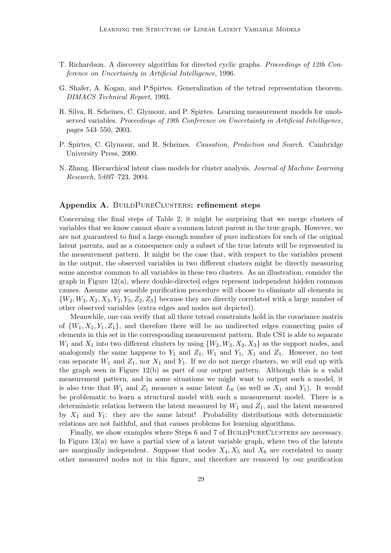- T. Richardson. A discovery algorithm for directed cyclic graphs. Proceedings of 12th Conference on Uncertainty in Artificial Intelligence, 1996.
- G. Shafer, A. Kogan, and P.Spirtes. Generalization of the tetrad representation theorem. DIMACS Technical Report, 1993.
- R. Silva, R. Scheines, C. Glymour, and P. Spirtes. Learning measurement models for unobserved variables. Proceedings of 19th Conference on Uncertainty in Artificial Intelligence, pages 543–550, 2003.
- P. Spirtes, C. Glymour, and R. Scheines. Causation, Prediction and Search. Cambridge University Press, 2000.
- N. Zhang. Hierarchical latent class models for cluster analysis. Journal of Machine Learning Research, 5:697–723, 2004.

#### Appendix A. BUILDPURECLUSTERS: refinement steps

Concerning the final steps of Table 2, it might be surprising that we merge clusters of variables that we know cannot share a common latent parent in the true graph. However, we are not guaranteed to find a large enough number of pure indicators for each of the original latent parents, and as a consequence only a subset of the true latents will be represented in the measurement pattern. It might be the case that, with respect to the variables present in the output, the observed variables in two different clusters might be directly measuring some ancestor common to all variables in these two clusters. As an illustration, consider the graph in Figure 12(a), where double-directed edges represent independent hidden common causes. Assume any sensible purification procedure will choose to eliminate all elements in  $\{W_2, W_3, X_2, X_3, Y_2, Y_3, Z_2, Z_3\}$  because they are directly correlated with a large number of other observed variables (extra edges and nodes not depicted).

Meanwhile, one can verify that all three tetrad constraints hold in the covariance matrix of  $\{W_1, X_1, Y_1, Z_1\}$ , and therefore there will be no undirected edges connecting pairs of elements in this set in the corresponding measurement pattern. Rule CS1 is able to separate  $W_1$  and  $X_1$  into two different clusters by using  $\{W_2, W_3, X_2, X_3\}$  as the support nodes, and analogously the same happens to  $Y_1$  and  $Z_1$ ,  $W_1$  and  $Y_1$ ,  $X_1$  and  $Z_1$ . However, no test can separate  $W_1$  and  $Z_1$ , nor  $X_1$  and  $Y_1$ . If we do not merge clusters, we will end up with the graph seen in Figure 12(b) as part of our output pattern. Although this is a valid measurement pattern, and in some situations we might want to output such a model, it is also true that  $W_1$  and  $Z_1$  measure a same latent  $L_0$  (as well as  $X_1$  and  $Y_1$ ). It would be problematic to learn a structural model with such a measurement model. There is a deterministic relation between the latent measured by  $W_1$  and  $Z_1$ , and the latent measured by  $X_1$  and  $Y_1$ : they are the same latent! Probability distributions with deterministic relations are not faithful, and that causes problems for learning algorithms.

Finally, we show examples where Steps 6 and 7 of BUILDPURECLUSTERS are necessary. In Figure  $13(a)$  we have a partial view of a latent variable graph, where two of the latents are marginally independent. Suppose that nodes  $X_4, X_5$  and  $X_6$  are correlated to many other measured nodes not in this figure, and therefore are removed by our purification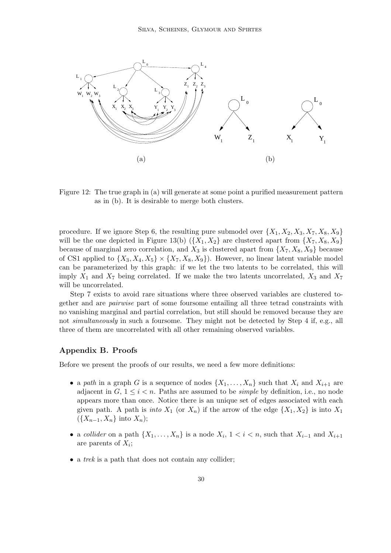

Figure 12: The true graph in (a) will generate at some point a purified measurement pattern as in (b). It is desirable to merge both clusters.

procedure. If we ignore Step 6, the resulting pure submodel over  $\{X_1, X_2, X_3, X_7, X_8, X_9\}$ will be the one depicted in Figure 13(b)  $({X_1, X_2})$  are clustered apart from  ${X_7, X_8, X_9}$ because of marginal zero correlation, and  $X_3$  is clustered apart from  $\{X_7, X_8, X_9\}$  because of CS1 applied to  $\{X_3, X_4, X_5\} \times \{X_7, X_8, X_9\}$ . However, no linear latent variable model can be parameterized by this graph: if we let the two latents to be correlated, this will imply  $X_1$  and  $X_7$  being correlated. If we make the two latents uncorrelated,  $X_3$  and  $X_7$ will be uncorrelated.

Step 7 exists to avoid rare situations where three observed variables are clustered together and are pairwise part of some foursome entailing all three tetrad constraints with no vanishing marginal and partial correlation, but still should be removed because they are not simultaneously in such a foursome. They might not be detected by Step 4 if, e.g., all three of them are uncorrelated with all other remaining observed variables.

#### Appendix B. Proofs

Before we present the proofs of our results, we need a few more definitions:

- a path in a graph G is a sequence of nodes  $\{X_1, \ldots, X_n\}$  such that  $X_i$  and  $X_{i+1}$  are adjacent in  $G, 1 \leq i \leq n$ . Paths are assumed to be *simple* by definition, i.e., no node appears more than once. Notice there is an unique set of edges associated with each given path. A path is *into*  $X_1$  (or  $X_n$ ) if the arrow of the edge  $\{X_1, X_2\}$  is into  $X_1$  $({X_{n-1}, X_n}$  into  $X_n)$ ;
- a collider on a path  $\{X_1, \ldots, X_n\}$  is a node  $X_i$ ,  $1 < i < n$ , such that  $X_{i-1}$  and  $X_{i+1}$ are parents of  $X_i$ ;
- a trek is a path that does not contain any collider: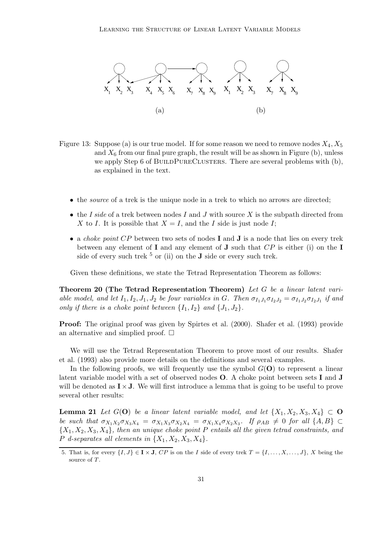

- Figure 13: Suppose (a) is our true model. If for some reason we need to remove nodes  $X_4, X_5$ and  $X_6$  from our final pure graph, the result will be as shown in Figure (b), unless we apply Step 6 of BUILDPURECLUSTERS. There are several problems with (b), as explained in the text.
	- the *source* of a trek is the unique node in a trek to which no arrows are directed;
	- the I side of a trek between nodes I and J with source X is the subpath directed from X to I. It is possible that  $X = I$ , and the I side is just node I;
	- a *choke point CP* between two sets of nodes **I** and **J** is a node that lies on every trek between any element of **I** and any element of **J** such that  $CP$  is either (i) on the **I** side of every such trek  $5$  or (ii) on the **J** side or every such trek.

Given these definitions, we state the Tetrad Representation Theorem as follows:

Theorem 20 (The Tetrad Representation Theorem) Let G be a linear latent variable model, and let  $I_1, I_2, J_1, J_2$  be four variables in G. Then  $\sigma_{I_1J_1}\sigma_{I_2J_2} = \sigma_{I_1J_2}\sigma_{I_2J_1}$  if and only if there is a choke point between  $\{I_1, I_2\}$  and  $\{J_1, J_2\}$ .

Proof: The original proof was given by Spirtes et al. (2000). Shafer et al. (1993) provide an alternative and simplied proof.  $\square$ 

We will use the Tetrad Representation Theorem to prove most of our results. Shafer et al. (1993) also provide more details on the definitions and several examples.

In the following proofs, we will frequently use the symbol  $G(\mathbf{O})$  to represent a linear latent variable model with a set of observed nodes O. A choke point between sets I and J will be denoted as  $\mathbf{I} \times \mathbf{J}$ . We will first introduce a lemma that is going to be useful to prove several other results:

**Lemma 21** Let  $G(\mathbf{O})$  be a linear latent variable model, and let  $\{X_1, X_2, X_3, X_4\} \subset \mathbf{O}$ be such that  $\sigma_{X_1X_2}\sigma_{X_3X_4} = \sigma_{X_1X_3}\sigma_{X_2X_4} = \sigma_{X_1X_4}\sigma_{X_2X_3}$ . If  $\rho_{AB} \neq 0$  for all  $\{A, B\} \subset$  ${X_1, X_2, X_3, X_4}$ , then an unique choke point P entails all the given tetrad constraints, and  $P$  d-separates all elements in  $\{X_1, X_2, X_3, X_4\}.$ 

<sup>5.</sup> That is, for every  $\{I, J\} \in \mathbf{I} \times \mathbf{J}$ ,  $\overline{CP}$  is on the I side of every trek  $T = \{I, \ldots, X, \ldots, J\}$ , X being the source of T.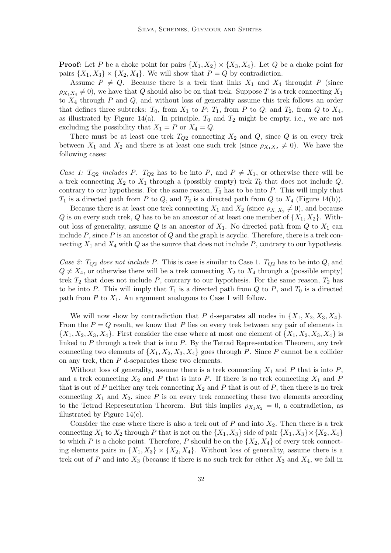**Proof:** Let P be a choke point for pairs  $\{X_1, X_2\} \times \{X_3, X_4\}$ . Let Q be a choke point for pairs  $\{X_1, X_3\} \times \{X_2, X_4\}$ . We will show that  $P = Q$  by contradiction.

Assume  $P \neq Q$ . Because there is a trek that links  $X_1$  and  $X_4$  throught P (since  $\rho_{X_1X_4} \neq 0$ , we have that Q should also be on that trek. Suppose T is a trek connecting  $X_1$ to  $X_4$  through P and Q, and without loss of generality assume this trek follows an order that defines three subtreks:  $T_0$ , from  $X_1$  to  $P$ ;  $T_1$ , from  $P$  to  $Q$ ; and  $T_2$ , from  $Q$  to  $X_4$ , as illustrated by Figure 14(a). In principle,  $T_0$  and  $T_2$  might be empty, i.e., we are not excluding the possibility that  $X_1 = P$  or  $X_4 = Q$ .

There must be at least one trek  $T_{Q2}$  connecting  $X_2$  and  $Q$ , since  $Q$  is on every trek between  $X_1$  and  $X_2$  and there is at least one such trek (since  $\rho_{X_1 X_2} \neq 0$ ). We have the following cases:

Case 1:  $T_{Q2}$  includes P.  $T_{Q2}$  has to be into P, and  $P \neq X_1$ , or otherwise there will be a trek connecting  $X_2$  to  $X_1$  through a (possibly empty) trek  $T_0$  that does not include  $Q$ , contrary to our hypothesis. For the same reason,  $T_0$  has to be into P. This will imply that  $T_1$  is a directed path from P to Q, and  $T_2$  is a directed path from Q to  $X_4$  (Figure 14(b)).

Because there is at least one trek connecting  $X_1$  and  $X_2$  (since  $\rho_{X_1X_2} \neq 0$ ), and because Q is on every such trek, Q has to be an ancestor of at least one member of  $\{X_1, X_2\}$ . Without loss of generality, assume Q is an ancestor of  $X_1$ . No directed path from Q to  $X_1$  can include  $P$ , since  $P$  is an ancestor of  $Q$  and the graph is acyclic. Therefore, there is a trek connecting  $X_1$  and  $X_4$  with Q as the source that does not include P, contrary to our hypothesis.

Case 2:  $T_{Q2}$  does not include P. This is case is similar to Case 1.  $T_{Q2}$  has to be into Q, and  $Q \neq X_4$ , or otherwise there will be a trek connecting  $X_2$  to  $X_4$  through a (possible empty) trek  $T_2$  that does not include P, contrary to our hypothesis. For the same reason,  $T_2$  has to be into P. This will imply that  $T_1$  is a directed path from Q to P, and  $T_0$  is a directed path from P to  $X_1$ . An argument analogous to Case 1 will follow.

We will now show by contradiction that P d-separates all nodes in  $\{X_1, X_2, X_3, X_4\}$ . From the  $P = Q$  result, we know that P lies on every trek between any pair of elements in  $\{X_1, X_2, X_3, X_4\}$ . First consider the case where at most one element of  $\{X_1, X_2, X_3, X_4\}$  is linked to  $P$  through a trek that is into  $P$ . By the Tetrad Representation Theorem, any trek connecting two elements of  $\{X_1, X_2, X_3, X_4\}$  goes through P. Since P cannot be a collider on any trek, then  $P$  d-separates these two elements.

Without loss of generality, assume there is a trek connecting  $X_1$  and P that is into P, and a trek connecting  $X_2$  and P that is into P. If there is no trek connecting  $X_1$  and P that is out of P neither any trek connecting  $X_2$  and P that is out of P, then there is no trek connecting  $X_1$  and  $X_2$ , since P is on every trek connecting these two elements according to the Tetrad Representation Theorem. But this implies  $\rho_{X_1X_2} = 0$ , a contradiction, as illustrated by Figure  $14(c)$ .

Consider the case where there is also a trek out of  $P$  and into  $X_2$ . Then there is a trek connecting  $X_1$  to  $X_2$  through P that is not on the  $\{X_1, X_3\}$  side of pair  $\{X_1, X_3\} \times \{X_2, X_4\}$ to which P is a choke point. Therefore, P should be on the  $\{X_2, X_4\}$  of every trek connecting elements pairs in  $\{X_1, X_3\} \times \{X_2, X_4\}$ . Without loss of generality, assume there is a trek out of P and into  $X_3$  (because if there is no such trek for either  $X_3$  and  $X_4$ , we fall in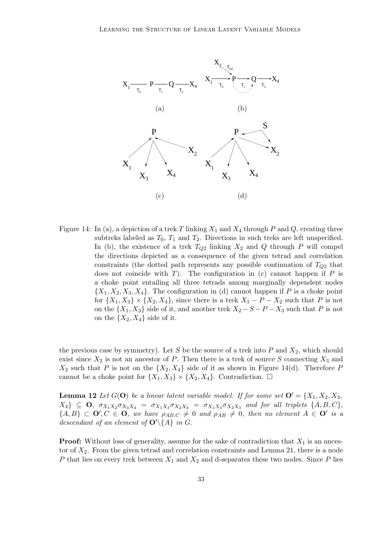

Figure 14: In (a), a depiction of a trek T linking  $X_1$  and  $X_4$  through P and Q, creating three subtreks labeled as  $T_0$ ,  $T_1$  and  $T_2$ . Directions in such treks are left unspecified. In (b), the existence of a trek  $T_{Q2}$  linking  $X_2$  and  $Q$  through P will compel the directions depicted as a consequence of the given tetrad and correlation constraints (the dotted path represents any possible continuation of  $T_{Q2}$  that does not coincide with T). The configuration in (c) cannot happen if  $P$  is a choke point entailing all three tetrads among marginally dependent nodes  ${X_1, X_2, X_3, X_4}$ . The configuration in (d) cannot happen if P is a choke point for  $\{X_1, X_3\} \times \{X_2, X_4\}$ , since there is a trek  $X_1 - P - X_2$  such that P is not on the  $\{X_1, X_3\}$  side of it, and another trek  $X_2 - S - P - X_3$  such that P is not on the  $\{X_2, X_4\}$  side of it.

the previous case by symmetry). Let S be the source of a trek into P and  $X_2$ , which should exist since  $X_2$  is not an ancestor of P. Then there is a trek of source S connecting  $X_3$  and  $X_2$  such that P is not on the  $\{X_2, X_4\}$  side of it as shown in Figure 14(d). Therefore P cannot be a choke point for  $\{X_1, X_3\} \times \{X_2, X_4\}$ . Contradiction.  $\Box$ 

**Lemma 12** Let  $G(\mathbf{O})$  be a linear latent variable model. If for some set  $\mathbf{O}' = \{X_1, X_2, X_3, \dots\}$  $X_4$ }  $\subseteq$  **O**,  $\sigma_{X_1X_2}\sigma_{X_3X_4} = \sigma_{X_1X_3}\sigma_{X_2X_4} = \sigma_{X_1X_4}\sigma_{X_2X_3}$  and for all triplets  $\{A, B, C\}$ ,  ${A, B} \subset \mathbf{O}', C \in \mathbf{O}$ , we have  $\rho_{AB,C} \neq 0$  and  $\rho_{AB} \neq 0$ , then no element  $A \in \mathbf{O}'$  is a descendant of an element of  $\mathbf{O}'\backslash\{A\}$  in G.

**Proof:** Without loss of generality, assume for the sake of contradiction that  $X_1$  is an ancestor of  $X_2$ . From the given tetrad and correlation constraints and Lemma 21, there is a node P that lies on every trek between  $X_1$  and  $X_2$  and d-separates these two nodes. Since P lies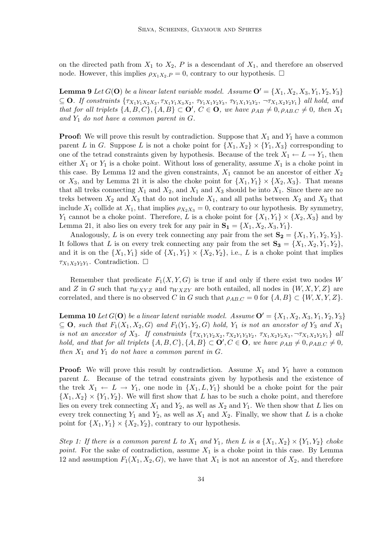on the directed path from  $X_1$  to  $X_2$ , P is a descendant of  $X_1$ , and therefore an observed node. However, this implies  $\rho_{X_1X_2,P} = 0$ , contrary to our hypothesis.  $\Box$ 

**Lemma 9** Let  $G(\mathbf{O})$  be a linear latent variable model. Assume  $\mathbf{O}' = \{X_1, X_2, X_3, Y_1, Y_2, Y_3\}$  $\subseteq$  **O**. If constraints  $\{\tau_{X_1Y_1X_2X_3}, \tau_{X_1Y_1X_3X_2}, \tau_{Y_1X_1Y_2Y_3}, \tau_{Y_1X_1Y_3Y_2}, \tau_{X_1X_2Y_2Y_1}\}$  all hold, and that for all triplets  $\{A, B, C\}, \{A, B\} \subset \mathbf{O}'$ ,  $C \in \mathbf{O}$ , we have  $\rho_{AB} \neq 0$ ,  $\rho_{AB,C} \neq 0$ , then  $X_1$ and  $Y_1$  do not have a common parent in  $G$ .

**Proof:** We will prove this result by contradiction. Suppose that  $X_1$  and  $Y_1$  have a common parent L in G. Suppose L is not a choke point for  $\{X_1, X_2\} \times \{Y_1, X_3\}$  corresponding to one of the tetrad constraints given by hypothesis. Because of the trek  $X_1 \leftarrow L \rightarrow Y_1$ , then either  $X_1$  or  $Y_1$  is a choke point. Without loss of generality, assume  $X_1$  is a choke point in this case. By Lemma 12 and the given constraints,  $X_1$  cannot be an ancestor of either  $X_2$ or  $X_3$ , and by Lemma 21 it is also the choke point for  $\{X_1, Y_1\} \times \{X_2, X_3\}$ . That means that all treks connecting  $X_1$  and  $X_2$ , and  $X_1$  and  $X_3$  should be into  $X_1$ . Since there are no treks between  $X_2$  and  $X_3$  that do not include  $X_1$ , and all paths between  $X_2$  and  $X_3$  that include  $X_1$  collide at  $X_1$ , that implies  $\rho_{X_2X_3} = 0$ , contrary to our hypothesis. By symmetry,  $Y_1$  cannot be a choke point. Therefore, L is a choke point for  $\{X_1, Y_1\} \times \{X_2, X_3\}$  and by Lemma 21, it also lies on every trek for any pair in  $S_1 = \{X_1, X_2, X_3, Y_1\}.$ 

Analogously, L is on every trek connecting any pair from the set  $S_2 = \{X_1, Y_1, Y_2, Y_3\}$ . It follows that L is on every trek connecting any pair from the set  $S_3 = \{X_1, X_2, Y_1, Y_2\}$ , and it is on the  $\{X_1, Y_1\}$  side of  $\{X_1, Y_1\} \times \{X_2, Y_2\}$ , i.e., L is a choke point that implies  $\tau_{X_1X_2Y_2Y_1}$ . Contradiction.  $\Box$ 

Remember that predicate  $F_1(X, Y, G)$  is true if and only if there exist two nodes W and Z in G such that  $\tau_{WXYZ}$  and  $\tau_{WXZY}$  are both entailed, all nodes in  $\{W, X, Y, Z\}$  are correlated, and there is no observed C in G such that  $\rho_{AB,C} = 0$  for  $\{A, B\} \subset \{W, X, Y, Z\}$ .

**Lemma 10** Let  $G(\mathbf{O})$  be a linear latent variable model. Assume  $\mathbf{O}' = \{X_1, X_2, X_3, Y_1, Y_2, Y_3\}$  $\subseteq$  **O**, such that  $F_1(X_1, X_2, G)$  and  $F_1(Y_1, Y_2, G)$  hold,  $Y_1$  is not an ancestor of  $Y_3$  and  $X_1$ is not an ancestor of  $X_3$ . If constraints  $\{\tau_{X_1Y_1Y_2X_2}, \tau_{X_2Y_1Y_3Y_2}, \tau_{X_1X_2Y_2X_3}, \neg \tau_{X_1X_2Y_2Y_1}\}$  all hold, and that for all triplets  $\{A, B, C\}$ ,  $\{A, B\} \subset \mathbf{O}'$ ,  $C \in \mathbf{O}$ , we have  $\rho_{AB} \neq 0$ ,  $\rho_{AB,C} \neq 0$ , then  $X_1$  and  $Y_1$  do not have a common parent in  $G$ .

**Proof:** We will prove this result by contradiction. Assume  $X_1$  and  $Y_1$  have a common parent L. Because of the tetrad constraints given by hypothesis and the existence of the trek  $X_1 \leftarrow L \rightarrow Y_1$ , one node in  $\{X_1, L, Y_1\}$  should be a choke point for the pair  $\{X_1, X_2\} \times \{Y_1, Y_2\}$ . We will first show that L has to be such a choke point, and therefore lies on every trek connecting  $X_1$  and  $Y_2$ , as well as  $X_2$  and  $Y_1$ . We then show that L lies on every trek connecting  $Y_1$  and  $Y_2$ , as well as  $X_1$  and  $X_2$ . Finally, we show that L is a choke point for  $\{X_1, Y_1\} \times \{X_2, Y_2\}$ , contrary to our hypothesis.

Step 1: If there is a common parent L to  $X_1$  and  $Y_1$ , then L is a  $\{X_1, X_2\} \times \{Y_1, Y_2\}$  choke point. For the sake of contradiction, assume  $X_1$  is a choke point in this case. By Lemma 12 and assumption  $F_1(X_1, X_2, G)$ , we have that  $X_1$  is not an ancestor of  $X_2$ , and therefore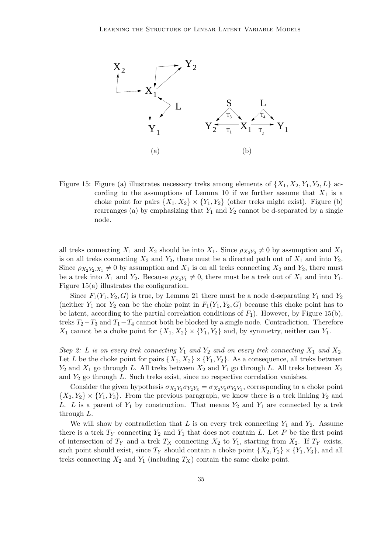

Figure 15: Figure (a) illustrates necessary treks among elements of  $\{X_1, X_2, Y_1, Y_2, L\}$  according to the assumptions of Lemma 10 if we further assume that  $X_1$  is a choke point for pairs  $\{X_1, X_2\} \times \{Y_1, Y_2\}$  (other treks might exist). Figure (b) rearranges (a) by emphasizing that  $Y_1$  and  $Y_2$  cannot be d-separated by a single node.

all treks connecting  $X_1$  and  $X_2$  should be into  $X_1$ . Since  $\rho_{X_2Y_2} \neq 0$  by assumption and  $X_1$ is on all treks connecting  $X_2$  and  $Y_2$ , there must be a directed path out of  $X_1$  and into  $Y_2$ . Since  $\rho_{X_2Y_2,X_1} \neq 0$  by assumption and  $X_1$  is on all treks connecting  $X_2$  and  $Y_2$ , there must be a trek into  $X_1$  and  $Y_2$ . Because  $\rho_{X_2Y_1} \neq 0$ , there must be a trek out of  $X_1$  and into  $Y_1$ . Figure 15(a) illustrates the configuration.

Since  $F_1(Y_1, Y_2, G)$  is true, by Lemma 21 there must be a node d-separating  $Y_1$  and  $Y_2$ (neither  $Y_1$  nor  $Y_2$  can be the choke point in  $F_1(Y_1, Y_2, G)$  because this choke point has to be latent, according to the partial correlation conditions of  $F_1$ ). However, by Figure 15(b), treks  $T_2-T_3$  and  $T_1-T_4$  cannot both be blocked by a single node. Contradiction. Therefore  $X_1$  cannot be a choke point for  $\{X_1, X_2\} \times \{Y_1, Y_2\}$  and, by symmetry, neither can  $Y_1$ .

Step 2: L is on every trek connecting  $Y_1$  and  $Y_2$  and on every trek connecting  $X_1$  and  $X_2$ . Let L be the choke point for pairs  $\{X_1, X_2\} \times \{Y_1, Y_2\}$ . As a consequence, all treks between  $Y_2$  and  $X_1$  go through L. All treks between  $X_2$  and  $Y_1$  go through L. All treks between  $X_2$ and  $Y_2$  go through L. Such treks exist, since no respective correlation vanishes.

Consider the given hypothesis  $\sigma_{X_2Y_1}\sigma_{Y_2Y_3} = \sigma_{X_2Y_3}\sigma_{Y_2Y_1}$ , corresponding to a choke point  $\{X_2, Y_2\} \times \{Y_1, Y_3\}$ . From the previous paragraph, we know there is a trek linking  $Y_2$  and L. L is a parent of  $Y_1$  by construction. That means  $Y_2$  and  $Y_1$  are connected by a trek through L.

We will show by contradiction that L is on every trek connecting  $Y_1$  and  $Y_2$ . Assume there is a trek  $T_Y$  connecting  $Y_2$  and  $Y_1$  that does not contain L. Let P be the first point of intersection of  $T_Y$  and a trek  $T_X$  connecting  $X_2$  to  $Y_1$ , starting from  $X_2$ . If  $T_Y$  exists, such point should exist, since  $T_Y$  should contain a choke point  $\{X_2, Y_2\} \times \{Y_1, Y_3\}$ , and all treks connecting  $X_2$  and  $Y_1$  (including  $T_X$ ) contain the same choke point.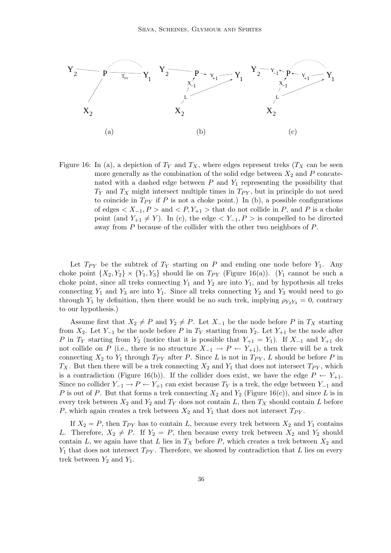

Figure 16: In (a), a depiction of  $T_Y$  and  $T_X$ , where edges represent treks  $(T_X \text{ can be seen})$ more generally as the combination of the solid edge between  $X_2$  and  $P$  concatenated with a dashed edge between  $P$  and  $Y_1$  representing the possibility that  $T_Y$  and  $T_X$  might intersect multiple times in  $T_{PY}$ , but in principle do not need to coincide in  $T_{PY}$  if P is not a choke point.) In (b), a possible configurations of edges  $X_{-1}, P >$  and  $\langle P, Y_{+1} \rangle$  that do not collide in P, and P is a choke point (and  $Y_{+1} \neq Y$ ). In (c), the edge  $\lt Y_{-1}, P >$  is compelled to be directed away from P because of the collider with the other two neighbors of P.

Let  $T_{PY}$  be the subtrek of  $T_Y$  starting on P and ending one node before  $Y_1$ . Any choke point  $\{X_2, Y_2\} \times \{Y_1, Y_3\}$  should lie on  $T_{PY}$  (Figure 16(a)). ( $Y_1$  cannot be such a choke point, since all treks connecting  $Y_1$  and  $Y_2$  are into  $Y_1$ , and by hypothesis all treks connecting  $Y_1$  and  $Y_3$  are into  $Y_1$ . Since all treks connecting  $Y_2$  and  $Y_3$  would need to go through  $Y_1$  by definition, then there would be no such trek, implying  $\rho_{Y_2Y_3} = 0$ , contrary to our hypothesis.)

Assume first that  $X_2 \neq P$  and  $Y_2 \neq P$ . Let  $X_{-1}$  be the node before P in  $T_X$  starting from  $X_2$ . Let  $Y_{-1}$  be the node before P in  $T_Y$  starting from  $Y_2$ . Let  $Y_{+1}$  be the node after P in  $T_Y$  starting from  $Y_2$  (notice that it is possible that  $Y_{+1} = Y_1$ ). If  $X_{-1}$  and  $Y_{+1}$  do not collide on P (i.e., there is no structure  $X_{-1} \to P \leftarrow Y_{+1}$ ), then there will be a trek connecting  $X_2$  to  $Y_1$  through  $T_{PY}$  after P. Since L is not in  $T_{PY}$ , L should be before P in  $T_X$ . But then there will be a trek connecting  $X_2$  and  $Y_1$  that does not intersect  $T_{PY}$ , which is a contradiction (Figure 16(b)). If the collider does exist, we have the edge  $P \leftarrow Y_{+1}$ . Since no collider  $Y_{-1} \to P \leftarrow Y_{+1}$  can exist because  $T_Y$  is a trek, the edge between  $Y_{-1}$  and P is out of P. But that forms a trek connecting  $X_2$  and  $Y_2$  (Figure 16(c)), and since L is in every trek between  $X_2$  and  $Y_2$  and  $T_Y$  does not contain L, then  $T_X$  should contain L before P, which again creates a trek between  $X_2$  and  $Y_1$  that does not intersect  $T_{PY}$ .

If  $X_2 = P$ , then  $T_{PY}$  has to contain L, because every trek between  $X_2$  and  $Y_1$  contains L. Therefore,  $X_2 \neq P$ . If  $Y_2 = P$ , then because every trek between  $X_2$  and  $Y_2$  should contain L, we again have that L lies in  $T_X$  before P, which creates a trek between  $X_2$  and  $Y_1$  that does not intersect  $T_{PY}$ . Therefore, we showed by contradiction that L lies on every trek between  $Y_2$  and  $Y_1$ .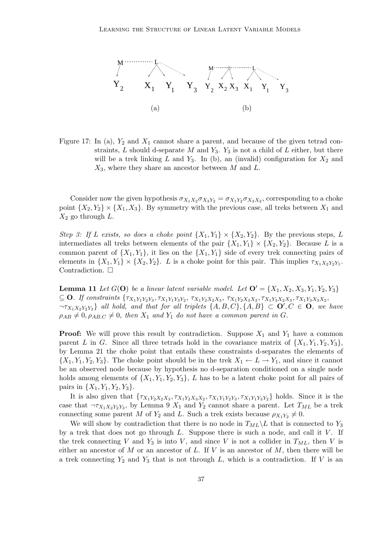

Figure 17: In (a),  $Y_2$  and  $X_1$  cannot share a parent, and because of the given tetrad constraints,  $L$  should d-separate  $M$  and  $Y_3$ .  $Y_3$  is not a child of  $L$  either, but there will be a trek linking L and  $Y_3$ . In (b), an (invalid) configuration for  $X_2$  and  $X_3$ , where they share an ancestor between M and L.

Consider now the given hypothesis  $\sigma_{X_1X_2}\sigma_{X_3Y_2}=\sigma_{X_1Y_2}\sigma_{X_3X_2}$ , corresponding to a choke point  $\{X_2, Y_2\} \times \{X_1, X_3\}$ . By symmetry with the previous case, all treks between  $X_1$  and  $X_2$  go through L.

Step 3: If L exists, so does a choke point  $\{X_1, Y_1\} \times \{X_2, Y_2\}$ . By the previous steps, L intermediates all treks between elements of the pair  $\{X_1, Y_1\} \times \{X_2, Y_2\}$ . Because L is a common parent of  $\{X_1, Y_1\}$ , it lies on the  $\{X_1, Y_1\}$  side of every trek connecting pairs of elements in  $\{X_1, Y_1\} \times \{X_2, Y_2\}$ . L is a choke point for this pair. This implies  $\tau_{X_1 X_2 Y_2 Y_1}$ . Contradiction.  $\Box$ 

**Lemma 11** Let  $G(\mathbf{O})$  be a linear latent variable model. Let  $\mathbf{O}' = \{X_1, X_2, X_3, Y_1, Y_2, Y_3\}$  $\subseteq$  **O**. If constraints  $\{\tau_{X_1Y_1Y_2Y_3}, \tau_{X_1Y_1Y_3Y_2}, \tau_{X_1Y_2X_2X_3}, \tau_{X_1Y_2X_3X_2}, \tau_{X_1Y_3X_2X_3}, \tau_{X_1Y_3X_3X_2},$  $\neg \tau_{X_1X_2Y_2Y_3}$  all hold, and that for all triplets  $\{A, B, C\}$ ,  $\{A, B\} \subset \mathbf{O}'$ ,  $C \in \mathbf{O}$ , we have  $\rho_{AB} \neq 0, \rho_{AB,C} \neq 0$ , then  $X_1$  and  $Y_1$  do not have a common parent in G.

**Proof:** We will prove this result by contradiction. Suppose  $X_1$  and  $Y_1$  have a common parent L in G. Since all three tetrads hold in the covariance matrix of  $\{X_1, Y_1, Y_2, Y_3\}$ , by Lemma 21 the choke point that entails these constraints d-separates the elements of  $\{X_1, Y_1, Y_2, Y_3\}$ . The choke point should be in the trek  $X_1 \leftarrow L \rightarrow Y_1$ , and since it cannot be an observed node because by hypothesis no d-separation conditioned on a single node holds among elements of  $\{X_1, Y_1, Y_2, Y_3\}$ , L has to be a latent choke point for all pairs of pairs in  $\{X_1, Y_1, Y_2, Y_3\}.$ 

It is also given that  $\{\tau_{X_1Y_2X_2X_3}, \tau_{X_1Y_2X_3X_2}, \tau_{X_1Y_1Y_2Y_3}, \tau_{X_1Y_1Y_3Y_2}\}\$  holds. Since it is the case that  $\neg \tau_{X_1 X_2 Y_2 Y_3}$ , by Lemma 9  $X_1$  and  $Y_2$  cannot share a parent. Let  $T_{ML}$  be a trek connecting some parent M of  $Y_2$  and L. Such a trek exists because  $\rho_{X_1Y_2} \neq 0$ .

We will show by contradiction that there is no node in  $T_{ML}\backslash L$  that is connected to  $Y_3$ by a trek that does not go through  $L$ . Suppose there is such a node, and call it  $V$ . If the trek connecting V and  $Y_3$  is into V, and since V is not a collider in  $T_{ML}$ , then V is either an ancestor of  $M$  or an ancestor of  $L$ . If  $V$  is an ancestor of  $M$ , then there will be a trek connecting  $Y_2$  and  $Y_3$  that is not through L, which is a contradiction. If V is an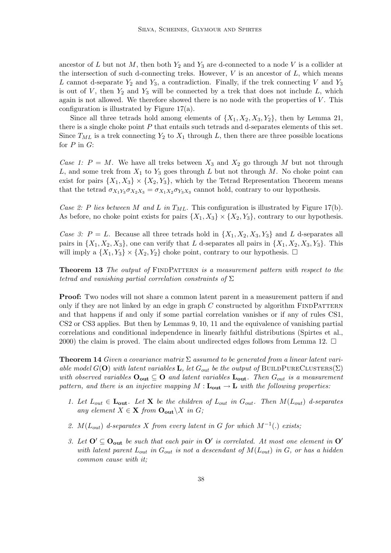ancestor of L but not M, then both  $Y_2$  and  $Y_3$  are d-connected to a node V is a collider at the intersection of such d-connecting treks. However,  $V$  is an ancestor of  $L$ , which means L cannot d-separate  $Y_2$  and  $Y_3$ , a contradiction. Finally, if the trek connecting V and  $Y_3$ is out of  $V$ , then  $Y_2$  and  $Y_3$  will be connected by a trek that does not include  $L$ , which again is not allowed. We therefore showed there is no node with the properties of  $V$ . This configuration is illustrated by Figure 17(a).

Since all three tetrads hold among elements of  $\{X_1, X_2, X_3, Y_2\}$ , then by Lemma 21, there is a single choke point  $P$  that entails such tetrads and d-separates elements of this set. Since  $T_{ML}$  is a trek connecting  $Y_2$  to  $X_1$  through L, then there are three possible locations for  $P$  in  $G$ :

Case 1:  $P = M$ . We have all treks between  $X_3$  and  $X_2$  go through M but not through L, and some trek from  $X_1$  to  $Y_3$  goes through L but not through M. No choke point can exist for pairs  $\{X_1, X_3\} \times \{X_2, Y_3\}$ , which by the Tetrad Representation Theorem means that the tetrad  $\sigma_{X_1Y_3}\sigma_{X_2X_3} = \sigma_{X_1X_2}\sigma_{Y_3X_3}$  cannot hold, contrary to our hypothesis.

Case 2: P lies between M and L in  $T_{ML}$ . This configuration is illustrated by Figure 17(b). As before, no choke point exists for pairs  $\{X_1, X_3\} \times \{X_2, Y_3\}$ , contrary to our hypothesis.

Case 3:  $P = L$ . Because all three tetrads hold in  $\{X_1, X_2, X_3, Y_3\}$  and L d-separates all pairs in  $\{X_1, X_2, X_3\}$ , one can verify that L d-separates all pairs in  $\{X_1, X_2, X_3, Y_3\}$ . This will imply a  $\{X_1, Y_3\} \times \{X_2, Y_2\}$  choke point, contrary to our hypothesis.  $\Box$ 

**Theorem 13** The output of FINDPATTERN is a measurement pattern with respect to the tetrad and vanishing partial correlation constraints of  $\Sigma$ 

Proof: Two nodes will not share a common latent parent in a measurement pattern if and only if they are not linked by an edge in graph  $C$  constructed by algorithm  $\overline{F}$  INDPATTERN and that happens if and only if some partial correlation vanishes or if any of rules CS1, CS2 or CS3 applies. But then by Lemmas 9, 10, 11 and the equivalence of vanishing partial correlations and conditional independence in linearly faithful distributions (Spirtes et al., 2000) the claim is proved. The claim about undirected edges follows from Lemma 12.  $\Box$ 

**Theorem 14** Given a covariance matrix  $\Sigma$  assumed to be generated from a linear latent variable model  $G(\mathbf{O})$  with latent variables **L**, let  $G_{out}$  be the output of BUILDPURECLUSTERS( $\Sigma$ ) with observed variables  $O_{out} \subseteq O$  and latent variables  $L_{out}$ . Then  $G_{out}$  is a measurement pattern, and there is an injective mapping  $M : L_{out} \to L$  with the following properties:

- 1. Let  $L_{out} \in L_{out}$ . Let **X** be the children of  $L_{out}$  in  $G_{out}$ . Then  $M(L_{out})$  d-separates any element  $X \in \mathbf{X}$  from  $\mathbf{O}_{\text{out}} \setminus X$  in  $G$ ;
- 2.  $M(L_{out})$  d-separates X from every latent in G for which  $M^{-1}(.)$  exists;
- 3. Let  $O' \subseteq O_{out}$  be such that each pair in  $O'$  is correlated. At most one element in  $O'$ with latent parent  $L_{out}$  in  $G_{out}$  is not a descendant of  $M(L_{out})$  in G, or has a hidden common cause with it;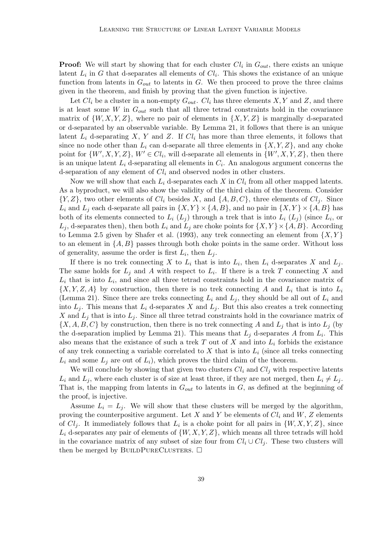**Proof:** We will start by showing that for each cluster  $Cl_i$  in  $G_{out}$ , there exists an unique latent  $L_i$  in G that d-separates all elements of  $Cl_i$ . This shows the existance of an unique function from latents in  $G_{out}$  to latents in G. We then proceed to prove the three claims given in the theorem, and finish by proving that the given function is injective.

Let  $Cl_i$  be a cluster in a non-empty  $G_{out}$ .  $Cl_i$  has three elements  $X, Y$  and  $Z$ , and there is at least some W in  $G_{out}$  such that all three tetrad constraints hold in the covariance matrix of  $\{W, X, Y, Z\}$ , where no pair of elements in  $\{X, Y, Z\}$  is marginally d-separated or d-separated by an observable variable. By Lemma 21, it follows that there is an unique latent  $L_i$  d-separating X, Y and Z. If  $Cl_i$  has more than three elements, it follows that since no node other than  $L_i$  can d-separate all three elements in  $\{X, Y, Z\}$ , and any choke point for  $\{W', X, Y, Z\}$ ,  $W' \in Cl_i$ , will d-separate all elements in  $\{W', X, Y, Z\}$ , then there is an unique latent  $L_i$  d-separating all elements in  $C_i$ . An analogous argument concerns the d-separation of any element of  $Cl<sub>i</sub>$  and observed nodes in other clusters.

Now we will show that each  $L_i$  d-separates each X in  $Cl_i$  from all other mapped latents. As a byproduct, we will also show the validity of the third claim of the theorem. Consider  ${Y,Z}$ , two other elements of  $Cl_i$  besides X, and  ${A,B,C}$ , three elements of  $Cl_i$ . Since  $L_i$  and  $L_j$  each d-separate all pairs in  $\{X, Y\} \times \{A, B\}$ , and no pair in  $\{X, Y\} \times \{A, B\}$  has both of its elements connected to  $L_i(L_j)$  through a trek that is into  $L_i(L_j)$  (since  $L_i$ , or  $L_i$ , d-separates then), then both  $L_i$  and  $L_j$  are choke points for  $\{X, Y\} \times \{A, B\}$ . According to Lemma 2.5 given by Shafer et al. (1993), any trek connecting an element from  $\{X, Y\}$ to an element in  $\{A, B\}$  passes through both choke points in the same order. Without loss of generality, assume the order is first  $L_i$ , then  $L_j$ .

If there is no trek connecting X to  $L_i$  that is into  $L_i$ , then  $L_i$  d-separates X and  $L_j$ . The same holds for  $L_j$  and A with respect to  $L_i$ . If there is a trek T connecting X and  $L_i$  that is into  $L_i$ , and since all three tetrad constraints hold in the covariance matrix of  $\{X, Y, Z, A\}$  by construction, then there is no trek connecting A and  $L_i$  that is into  $L_i$ (Lemma 21). Since there are treks connecting  $L_i$  and  $L_j$ , they should be all out of  $L_i$  and into  $L_i$ . This means that  $L_i$  d-separates X and  $L_i$ . But this also creates a trek connecting X and  $L_j$  that is into  $L_j$ . Since all three tetrad constraints hold in the covariance matrix of  $\{X, A, B, C\}$  by construction, then there is no trek connecting A and  $L_j$  that is into  $L_j$  (by the d-separation implied by Lemma 21). This means that  $L_j$  d-separates A from  $L_i$ . This also means that the existance of such a trek T out of X and into  $L_i$  forbids the existance of any trek connecting a variable correlated to X that is into  $L_i$  (since all treks connecting  $L_i$  and some  $L_i$  are out of  $L_i$ ), which proves the third claim of the theorem.

We will conclude by showing that given two clusters  $Cl_i$  and  $Cl_j$  with respective latents  $L_i$  and  $L_j$ , where each cluster is of size at least three, if they are not merged, then  $L_i \neq L_j$ . That is, the mapping from latents in  $G_{out}$  to latents in  $G$ , as defined at the beginning of the proof, is injective.

Assume  $L_i = L_j$ . We will show that these clusters will be merged by the algorithm, proving the counterpositive argument. Let X and Y be elements of  $Cl_i$  and W, Z elements of  $Cl_j$ . It immediately follows that  $L_i$  is a choke point for all pairs in  $\{W, X, Y, Z\}$ , since  $L_i$  d-separates any pair of elements of  $\{W, X, Y, Z\}$ , which means all three tetrads will hold in the covariance matrix of any subset of size four from  $Cl_i \cup Cl_j$ . These two clusters will then be merged by BUILDPURECLUSTERS.  $\Box$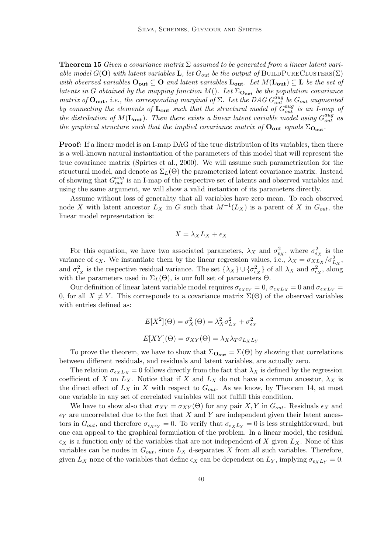**Theorem 15** Given a covariance matrix  $\Sigma$  assumed to be generated from a linear latent variable model  $G(\mathbf{O})$  with latent variables **L**, let  $G_{out}$  be the output of BUILDPURECLUSTERS( $\Sigma$ ) with observed variables  $O_{out} \subseteq O$  and latent variables  $L_{out}$ . Let  $M(L_{out}) \subseteq L$  be the set of latents in G obtained by the mapping function  $M()$ . Let  $\Sigma_{\text{O}_{out}}$  be the population covariance matrix of  $O_{\text{out}}$ , i.e., the corresponding marginal of  $\Sigma$ . Let the DAG  $G_{out}^{aug}$  be  $G_{out}$  augmented by connecting the elements of  $\mathbf{L_{out}}$  such that the structural model of  $G_{out}^{aug}$  is an I-map of the distribution of  $M(\mathbf{L_{out}})$ . Then there exists a linear latent variable model using  $G_{out}^{aug}$  as the graphical structure such that the implied covariance matrix of  $O_{out}$  equals  $\Sigma_{O_{out}}$ .

**Proof:** If a linear model is an I-map DAG of the true distribution of its variables, then there is a well-known natural instantiation of the parameters of this model that will represent the true covariance matrix (Spirtes et al., 2000). We will assume such parametrization for the structural model, and denote as  $\Sigma_L(\Theta)$  the parameterized latent covariance matrix. Instead of showing that  $G_{out}^{aug}$  is an I-map of the respective set of latents and observed variables and using the same argument, we will show a valid instantion of its parameters directly.

Assume without loss of generality that all variables have zero mean. To each observed node X with latent ancestor  $L_X$  in G such that  $M^{-1}(L_X)$  is a parent of X in  $G_{out}$ , the linear model representation is:

$$
X = \lambda_X L_X + \epsilon_X
$$

For this equation, we have two associated parameters,  $\lambda_X$  and  $\sigma_{\epsilon_X}^2$ , where  $\sigma_{\epsilon_X}^2$  is the variance of  $\epsilon_X$ . We instantiate them by the linear regression values, i.e.,  $\lambda_X = \sigma_{X L_X}/\sigma_{L_X}^2$ , and  $\sigma_{\epsilon_X}^2$  is the respective residual variance. The set  $\{\lambda_X\} \cup \{\sigma_{\epsilon_X}^2\}$  of all  $\lambda_X$  and  $\sigma_{\epsilon_X}^2$ , along with the parameters used in  $\Sigma_L(\Theta)$ , is our full set of parameters  $\Theta$ .

Our definition of linear latent variable model requires  $\sigma_{\epsilon_X\epsilon_Y} = 0$ ,  $\sigma_{\epsilon_XL_X} = 0$  and  $\sigma_{\epsilon_XL_Y} = 0$ 0, for all  $X \neq Y$ . This corresponds to a covariance matrix  $\Sigma(\Theta)$  of the observed variables with entries defined as:

$$
E[X2](\Theta) = \sigma_X^2(\Theta) = \lambda_X^2 \sigma_{L_X}^2 + \sigma_{\epsilon_X}^2
$$

$$
E[XY](\Theta) = \sigma_{XY}(\Theta) = \lambda_X \lambda_T \sigma_{L_X L_Y}
$$

To prove the theorem, we have to show that  $\Sigma_{\text{O}_{out}} = \Sigma(\Theta)$  by showing that correlations between different residuals, and residuals and latent variables, are actually zero.

The relation  $\sigma_{\epsilon X}L_X = 0$  follows directly from the fact that  $\lambda_X$  is defined by the regression coefficient of X on  $L_X$ . Notice that if X and  $L_X$  do not have a common ancestor,  $\lambda_X$  is the direct effect of  $L_X$  in X with respect to  $G_{out}$ . As we know, by Theorem 14, at most one variable in any set of correlated variables will not fulfill this condition.

We have to show also that  $\sigma_{XY} = \sigma_{XY}(\Theta)$  for any pair X, Y in  $G_{out}$ . Residuals  $\epsilon_X$  and  $\epsilon_Y$  are uncorrelated due to the fact that X and Y are independent given their latent ancestors in  $G_{out}$ , and therefore  $\sigma_{\epsilon_X \epsilon_Y} = 0$ . To verify that  $\sigma_{\epsilon_X L_Y} = 0$  is less straightforward, but one can appeal to the graphical formulation of the problem. In a linear model, the residual  $\epsilon_X$  is a function only of the variables that are not independent of X given  $L_X$ . None of this variables can be nodes in  $G_{out}$ , since  $L_X$  d-separates X from all such variables. Therefore, given  $L_X$  none of the variables that define  $\epsilon_X$  can be dependent on  $L_Y$ , implying  $\sigma_{\epsilon_X L_Y} = 0$ .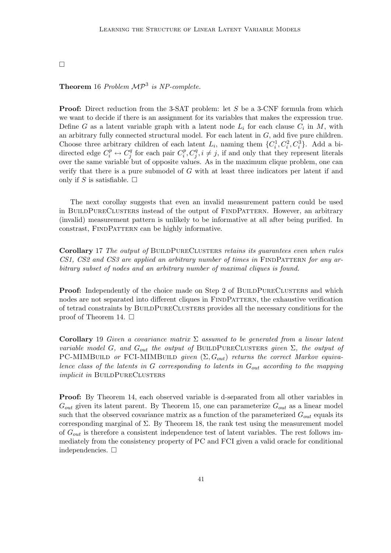## $\Box$

## **Theorem** 16 Problem  $\mathcal{MP}^3$  is NP-complete.

**Proof:** Direct reduction from the 3-SAT problem: let S be a 3-CNF formula from which we want to decide if there is an assignment for its variables that makes the expression true. Define G as a latent variable graph with a latent node  $L_i$  for each clause  $C_i$  in M, with an arbitrary fully connected structural model. For each latent in  $G$ , add five pure children. Choose three arbitrary children of each latent  $L_i$ , naming them  $\{C_i^1, C_i^2, C_i^3\}$ . Add a bidirected edge  $C_i^p \leftrightarrow C_j^q$  $C_i^q$  for each pair  $C_i^p$  $i<sup>p</sup>, C<sup>q</sup>, i \neq j$ , if and only that they represent literals over the same variable but of opposite values. As in the maximum clique problem, one can verify that there is a pure submodel of G with at least three indicators per latent if and only if S is satisfiable.  $\square$ 

The next corollay suggests that even an invalid measurement pattern could be used in BUILDPURECLUSTERS instead of the output of FINDPATTERN. However, an arbitrary (invalid) measurement pattern is unlikely to be informative at all after being purified. In constrast, FINDPATTERN can be highly informative.

Corollary 17 The output of BUILDPURECLUSTERS retains its quarantees even when rules  $CS1, CS2$  and  $CS3$  are applied an arbitrary number of times in  $\text{FINDPATH}$  for any arbitrary subset of nodes and an arbitrary number of maximal cliques is found.

Proof: Independently of the choice made on Step 2 of BUILDPURECLUSTERS and which nodes are not separated into different cliques in FINDPATTERN, the exhaustive verification of tetrad constraints by BuildPureClusters provides all the necessary conditions for the proof of Theorem 14.  $\Box$ 

Corollary 19 Given a covariance matrix  $\Sigma$  assumed to be generated from a linear latent variable model G, and  $G_{out}$  the output of BUILDPURECLUSTERS given  $\Sigma$ , the output of PC-MIMBUILD or FCI-MIMBUILD given  $(\Sigma, G_{out})$  returns the correct Markov equivalence class of the latents in  $G$  corresponding to latents in  $G_{out}$  according to the mapping implicit in BUILDPURECLUSTERS

Proof: By Theorem 14, each observed variable is d-separated from all other variables in  $G_{out}$  given its latent parent. By Theorem 15, one can parameterize  $G_{out}$  as a linear model such that the observed covariance matrix as a function of the parameterized  $G_{out}$  equals its corresponding marginal of  $\Sigma$ . By Theorem 18, the rank test using the measurement model of  $G_{out}$  is therefore a consistent independence test of latent variables. The rest follows immediately from the consistency property of PC and FCI given a valid oracle for conditional independencies.  $\Box$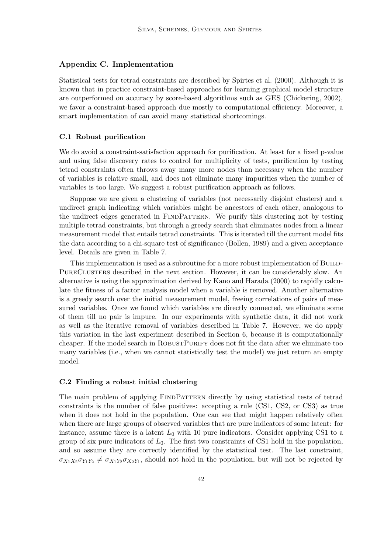#### Appendix C. Implementation

Statistical tests for tetrad constraints are described by Spirtes et al. (2000). Although it is known that in practice constraint-based approaches for learning graphical model structure are outperformed on accuracy by score-based algorithms such as GES (Chickering, 2002), we favor a constraint-based approach due mostly to computational efficiency. Moreover, a smart implementation of can avoid many statistical shortcomings.

#### C.1 Robust purification

We do avoid a constraint-satisfaction approach for purification. At least for a fixed p-value and using false discovery rates to control for multiplicity of tests, purification by testing tetrad constraints often throws away many more nodes than necessary when the number of variables is relative small, and does not eliminate many impurities when the number of variables is too large. We suggest a robust purification approach as follows.

Suppose we are given a clustering of variables (not necessarily disjoint clusters) and a undirect graph indicating which variables might be ancestors of each other, analogous to the undirect edges generated in FINDPATTERN. We purify this clustering not by testing multiple tetrad constraints, but through a greedy search that eliminates nodes from a linear measurement model that entails tetrad constraints. This is iterated till the current model fits the data according to a chi-square test of significance (Bollen, 1989) and a given acceptance level. Details are given in Table 7.

This implementation is used as a subroutine for a more robust implementation of BUILD-PureClusters described in the next section. However, it can be considerably slow. An alternative is using the approximation derived by Kano and Harada (2000) to rapidly calculate the fitness of a factor analysis model when a variable is removed. Another alternative is a greedy search over the initial measurement model, freeing correlations of pairs of measured variables. Once we found which variables are directly connected, we eliminate some of them till no pair is impure. In our experiments with synthetic data, it did not work as well as the iterative removal of variables described in Table 7. However, we do apply this variation in the last experiment described in Section 6, because it is computationally cheaper. If the model search in ROBUSTPURIFY does not fit the data after we eliminate too many variables (i.e., when we cannot statistically test the model) we just return an empty model.

#### C.2 Finding a robust initial clustering

The main problem of applying FINDPATTERN directly by using statistical tests of tetrad constraints is the number of false positives: accepting a rule (CS1, CS2, or CS3) as true when it does not hold in the population. One can see that might happen relatively often when there are large groups of observed variables that are pure indicators of some latent: for instance, assume there is a latent  $L_0$  with 10 pure indicators. Consider applying CS1 to a group of six pure indicators of  $L_0$ . The first two constraints of CS1 hold in the population, and so assume they are correctly identified by the statistical test. The last constraint,  $\sigma_{X_1X_2\sigma_{Y_1Y_2}} \neq \sigma_{X_1Y_2\sigma_{X_2Y_1}}$ , should not hold in the population, but will not be rejected by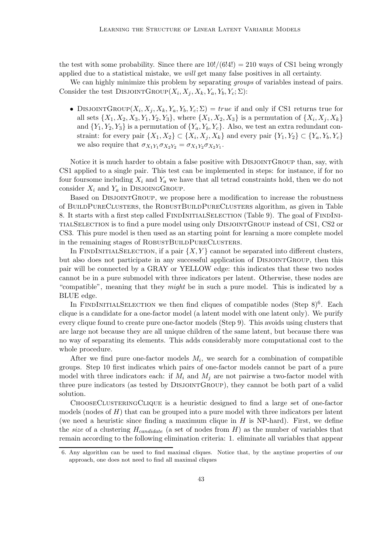the test with some probability. Since there are  $10!/(6!4!) = 210$  ways of CS1 being wrongly applied due to a statistical mistake, we will get many false positives in all certainty.

We can highly minimize this problem by separating *groups* of variables instead of pairs. Consider the test DISJOINTGROUP $(X_i, X_j, X_k, Y_a, Y_b, Y_c; \Sigma)$ :

• DISJOINTGROUP $(X_i, X_j, X_k, Y_a, Y_b, Y_c; \Sigma) = true$  if and only if CS1 returns true for all sets  $\{X_1, X_2, X_3, Y_1, Y_2, Y_3\}$ , where  $\{X_1, X_2, X_3\}$  is a permutation of  $\{X_i, X_j, X_k\}$ and  $\{Y_1, Y_2, Y_3\}$  is a permutation of  $\{Y_a, Y_b, Y_c\}$ . Also, we test an extra redundant constraint: for every pair  $\{X_1, X_2\} \subset \{X_i, X_j, X_k\}$  and every pair  $\{Y_1, Y_2\} \subset \{Y_a, Y_b, Y_c\}$ we also require that  $\sigma_{X_1 Y_1} \sigma_{X_2 Y_2} = \sigma_{X_1 Y_2} \sigma_{X_2 Y_1}$ .

Notice it is much harder to obtain a false positive with DISJOINTGROUP than, say, with CS1 applied to a single pair. This test can be implemented in steps: for instance, if for no four foursome including  $X_i$  and  $Y_a$  we have that all tetrad constraints hold, then we do not consider  $X_i$  and  $Y_a$  in DISJOINGGROUP.

Based on DisjointGroup, we propose here a modification to increase the robustness of BuildPureClusters, the RobustBuildPureClusters algorithm, as given in Table 8. It starts with a first step called FindInitialSelection (Table 9). The goal of FindInitialSelection is to find a pure model using only DisjointGroup instead of CS1, CS2 or CS3. This pure model is then used as an starting point for learning a more complete model in the remaining stages of ROBUSTBUILDPURECLUSTERS.

In FINDINITIALSELECTION, if a pair  $\{X, Y\}$  cannot be separated into different clusters, but also does not participate in any successful application of DisjointGroup, then this pair will be connected by a GRAY or YELLOW edge: this indicates that these two nodes cannot be in a pure submodel with three indicators per latent. Otherwise, these nodes are "compatible", meaning that they might be in such a pure model. This is indicated by a BLUE edge.

In FINDINITIALSELECTION we then find cliques of compatible nodes (Step  $8)^6$ . Each clique is a candidate for a one-factor model (a latent model with one latent only). We purify every clique found to create pure one-factor models (Step 9). This avoids using clusters that are large not because they are all unique children of the same latent, but because there was no way of separating its elements. This adds considerably more computational cost to the whole procedure.

After we find pure one-factor models  $M_i$ , we search for a combination of compatible groups. Step 10 first indicates which pairs of one-factor models cannot be part of a pure model with three indicators each: if  $M_i$  and  $M_j$  are not pairwise a two-factor model with three pure indicators (as tested by DisjointGroup), they cannot be both part of a valid solution.

ChooseClusteringClique is a heuristic designed to find a large set of one-factor models (nodes of  $H$ ) that can be grouped into a pure model with three indicators per latent (we need a heuristic since finding a maximum clique in  $H$  is NP-hard). First, we define the size of a clustering  $H_{candidate}$  (a set of nodes from H) as the number of variables that remain according to the following elimination criteria: 1. eliminate all variables that appear

<sup>6.</sup> Any algorithm can be used to find maximal cliques. Notice that, by the anytime properties of our approach, one does not need to find all maximal cliques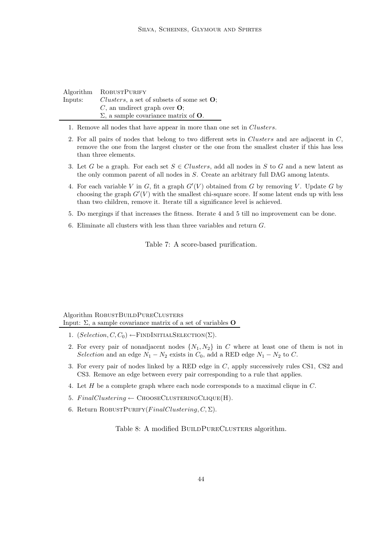| Algorithm | ROBUSTPURIFY                                                  |
|-----------|---------------------------------------------------------------|
| Inputs:   | <i>Clusters</i> , a set of subsets of some set $\mathbf{O}$ ; |
|           | $C$ , an undirect graph over $O$ ;                            |
|           | $\Sigma$ , a sample covariance matrix of <b>O</b> .           |

- 1. Remove all nodes that have appear in more than one set in Clusters.
- 2. For all pairs of nodes that belong to two different sets in Clusters and are adjacent in  $C$ , remove the one from the largest cluster or the one from the smallest cluster if this has less than three elements.
- 3. Let G be a graph. For each set  $S \in Clusters$ , add all nodes in S to G and a new latent as the only common parent of all nodes in S. Create an arbitrary full DAG among latents.
- 4. For each variable V in G, fit a graph  $G'(V)$  obtained from G by removing V. Update G by choosing the graph  $G'(V)$  with the smallest chi-square score. If some latent ends up with less than two children, remove it. Iterate till a significance level is achieved.
- 5. Do mergings if that increases the fitness. Iterate 4 and 5 till no improvement can be done.
- 6. Eliminate all clusters with less than three variables and return G.

Table 7: A score-based purification.

Algorithm ROBUSTBUILDPURECLUSTERS Input:  $\Sigma$ , a sample covariance matrix of a set of variables **O** 

- 1.  $(Selection, C, C_0) \leftarrow \text{FINDINTIALSELECTION}(\Sigma)$ .
- 2. For every pair of nonadjacent nodes  $\{N_1, N_2\}$  in C where at least one of them is not in Selection and an edge  $N_1 - N_2$  exists in  $C_0$ , add a RED edge  $N_1 - N_2$  to C.
- 3. For every pair of nodes linked by a RED edge in C, apply successively rules CS1, CS2 and CS3. Remove an edge between every pair corresponding to a rule that applies.
- 4. Let H be a complete graph where each node corresponds to a maximal clique in C.
- 5.  $FinalClustering \leftarrow ChOOSECLUSTERINGCLIQUE(H).$
- 6. Return ROBUSTPURIFY( $FinalClustering, C, \Sigma$ ).

Table 8: A modified BUILDPURECLUSTERS algorithm.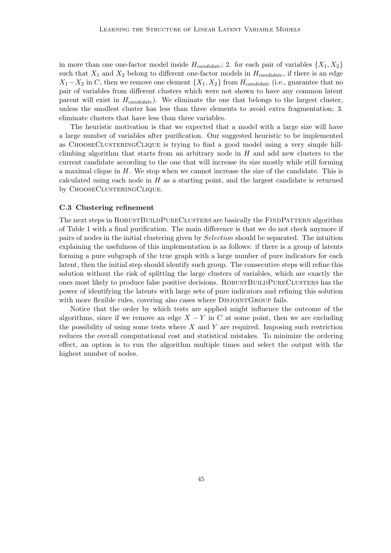in more than one one-factor model inside  $H_{candidate}$ ; 2. for each pair of variables  $\{X_1, X_2\}$ such that  $X_1$  and  $X_2$  belong to different one-factor models in  $H_{candidate}$ , if there is an edge  $X_1-X_2$  in C, then we remove one element  $\{X_1, X_2\}$  from  $H_{candidate}$  (i.e., guarantee that no pair of variables from different clusters which were not shown to have any common latent parent will exist in  $H_{candidate}$ ). We eliminate the one that belongs to the largest cluster, unless the smallest cluster has less than three elements to avoid extra fragmentation; 3. eliminate clusters that have less than three variables.

The heuristic motivation is that we expected that a model with a large size will have a large number of variables after purification. Our suggested heuristic to be implemented as ChooseClusteringClique is trying to find a good model using a very simple hillclimbing algorithm that starts from an arbitrary node in  $H$  and add new clusters to the current candidate according to the one that will increase its size mostly while still forming a maximal clique in H. We stop when we cannot increase the size of the candidate. This is calculated using each node in  $H$  as a starting point, and the largest candidate is returned by CHOOSECLUSTERINGCLIQUE.

#### C.3 Clustering refinement

The next steps in ROBUSTBUILDPURECLUSTERS are basically the FINDPATTERN algorithm of Table 1 with a final purification. The main difference is that we do not check anymore if pairs of nodes in the initial clustering given by Selection should be separated. The intuition explaining the usefulness of this implementation is as follows: if there is a group of latents forming a pure subgraph of the true graph with a large number of pure indicators for each latent, then the initial step should identify such group. The consecutive steps will refine this solution without the risk of splitting the large clusters of variables, which are exactly the ones most likely to produce false positive decisions. ROBUSTBUILDPURECLUSTERS has the power of identifying the latents with large sets of pure indicators and refining this solution with more flexible rules, covering also cases where DISJOINTGROUP fails.

Notice that the order by which tests are applied might influence the outcome of the algorithms, since if we remove an edge  $X - Y$  in C at some point, then we are excluding the possibility of using some tests where  $X$  and  $Y$  are required. Imposing such restriction reduces the overall computational cost and statistical mistakes. To minimize the ordering effect, an option is to run the algorithm multiple times and select the output with the highest number of nodes.